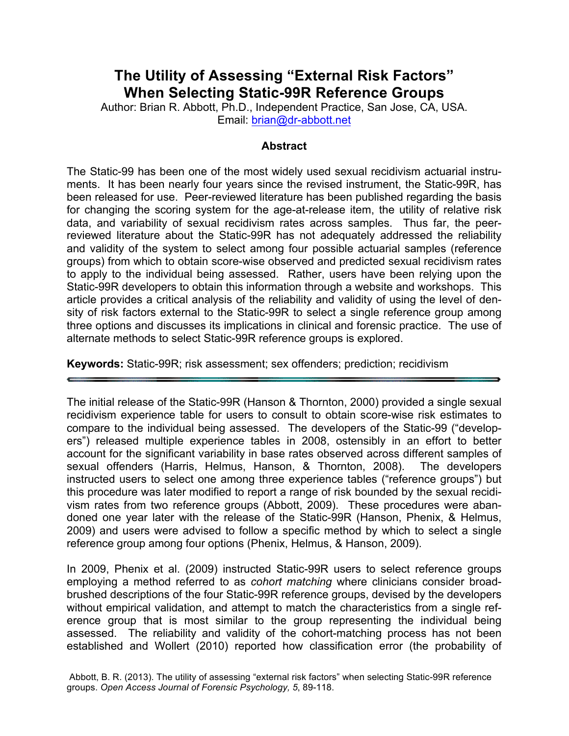# **The Utility of Assessing "External Risk Factors" When Selecting Static-99R Reference Groups**

Author: Brian R. Abbott, Ph.D., Independent Practice, San Jose, CA, USA. Email: brian@dr-abbott.net

#### **Abstract**

The Static-99 has been one of the most widely used sexual recidivism actuarial instruments. It has been nearly four years since the revised instrument, the Static-99R, has been released for use. Peer-reviewed literature has been published regarding the basis for changing the scoring system for the age-at-release item, the utility of relative risk data, and variability of sexual recidivism rates across samples. Thus far, the peerreviewed literature about the Static-99R has not adequately addressed the reliability and validity of the system to select among four possible actuarial samples (reference groups) from which to obtain score-wise observed and predicted sexual recidivism rates to apply to the individual being assessed. Rather, users have been relying upon the Static-99R developers to obtain this information through a website and workshops. This article provides a critical analysis of the reliability and validity of using the level of density of risk factors external to the Static-99R to select a single reference group among three options and discusses its implications in clinical and forensic practice. The use of alternate methods to select Static-99R reference groups is explored.

**Keywords:** Static-99R; risk assessment; sex offenders; prediction; recidivism

The initial release of the Static-99R (Hanson & Thornton, 2000) provided a single sexual recidivism experience table for users to consult to obtain score-wise risk estimates to compare to the individual being assessed. The developers of the Static-99 ("developers") released multiple experience tables in 2008, ostensibly in an effort to better account for the significant variability in base rates observed across different samples of sexual offenders (Harris, Helmus, Hanson, & Thornton, 2008). The developers instructed users to select one among three experience tables ("reference groups") but this procedure was later modified to report a range of risk bounded by the sexual recidivism rates from two reference groups (Abbott, 2009). These procedures were abandoned one year later with the release of the Static-99R (Hanson, Phenix, & Helmus, 2009) and users were advised to follow a specific method by which to select a single reference group among four options (Phenix, Helmus, & Hanson, 2009).

In 2009, Phenix et al. (2009) instructed Static-99R users to select reference groups employing a method referred to as *cohort matching* where clinicians consider broadbrushed descriptions of the four Static-99R reference groups, devised by the developers without empirical validation, and attempt to match the characteristics from a single reference group that is most similar to the group representing the individual being assessed. The reliability and validity of the cohort-matching process has not been established and Wollert (2010) reported how classification error (the probability of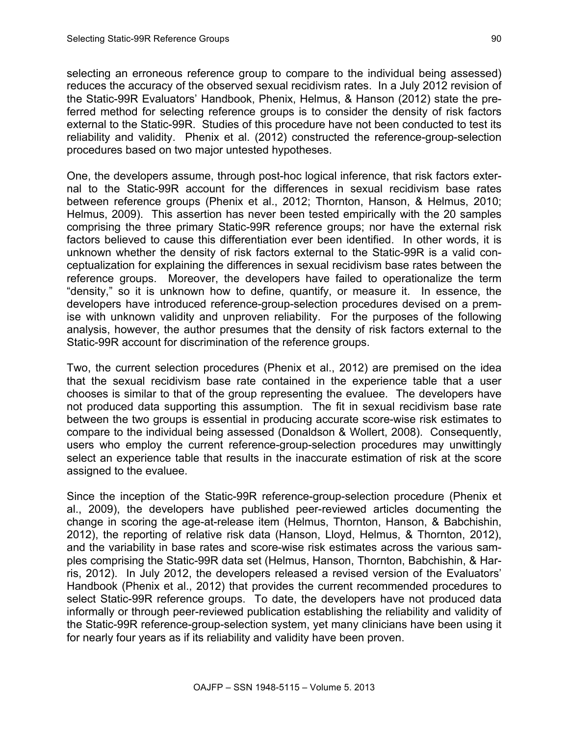selecting an erroneous reference group to compare to the individual being assessed) reduces the accuracy of the observed sexual recidivism rates. In a July 2012 revision of the Static-99R Evaluators' Handbook, Phenix, Helmus, & Hanson (2012) state the preferred method for selecting reference groups is to consider the density of risk factors external to the Static-99R. Studies of this procedure have not been conducted to test its reliability and validity. Phenix et al. (2012) constructed the reference-group-selection procedures based on two major untested hypotheses.

One, the developers assume, through post-hoc logical inference, that risk factors external to the Static-99R account for the differences in sexual recidivism base rates between reference groups (Phenix et al., 2012; Thornton, Hanson, & Helmus, 2010; Helmus, 2009). This assertion has never been tested empirically with the 20 samples comprising the three primary Static-99R reference groups; nor have the external risk factors believed to cause this differentiation ever been identified. In other words, it is unknown whether the density of risk factors external to the Static-99R is a valid conceptualization for explaining the differences in sexual recidivism base rates between the reference groups. Moreover, the developers have failed to operationalize the term "density," so it is unknown how to define, quantify, or measure it. In essence, the developers have introduced reference-group-selection procedures devised on a premise with unknown validity and unproven reliability. For the purposes of the following analysis, however, the author presumes that the density of risk factors external to the Static-99R account for discrimination of the reference groups.

Two, the current selection procedures (Phenix et al., 2012) are premised on the idea that the sexual recidivism base rate contained in the experience table that a user chooses is similar to that of the group representing the evaluee. The developers have not produced data supporting this assumption. The fit in sexual recidivism base rate between the two groups is essential in producing accurate score-wise risk estimates to compare to the individual being assessed (Donaldson & Wollert, 2008). Consequently, users who employ the current reference-group-selection procedures may unwittingly select an experience table that results in the inaccurate estimation of risk at the score assigned to the evaluee.

Since the inception of the Static-99R reference-group-selection procedure (Phenix et al., 2009), the developers have published peer-reviewed articles documenting the change in scoring the age-at-release item (Helmus, Thornton, Hanson, & Babchishin, 2012), the reporting of relative risk data (Hanson, Lloyd, Helmus, & Thornton, 2012), and the variability in base rates and score-wise risk estimates across the various samples comprising the Static-99R data set (Helmus, Hanson, Thornton, Babchishin, & Harris, 2012). In July 2012, the developers released a revised version of the Evaluators' Handbook (Phenix et al., 2012) that provides the current recommended procedures to select Static-99R reference groups. To date, the developers have not produced data informally or through peer-reviewed publication establishing the reliability and validity of the Static-99R reference-group-selection system, yet many clinicians have been using it for nearly four years as if its reliability and validity have been proven.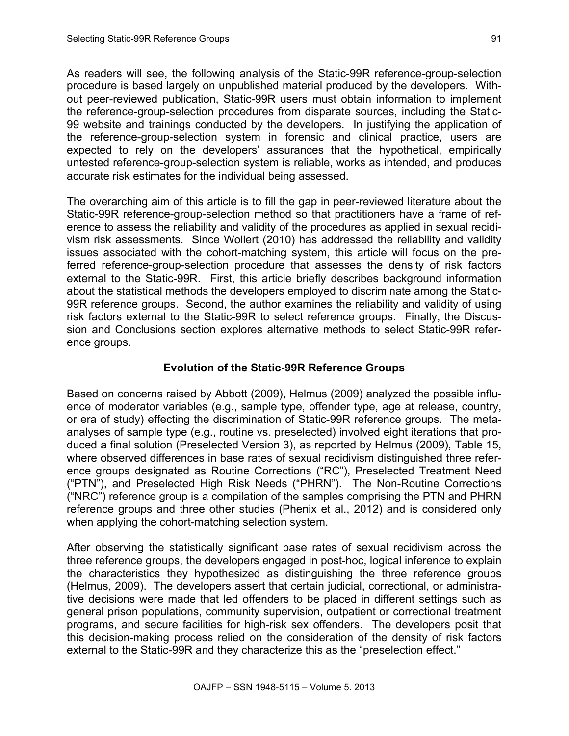As readers will see, the following analysis of the Static-99R reference-group-selection procedure is based largely on unpublished material produced by the developers. Without peer-reviewed publication, Static-99R users must obtain information to implement the reference-group-selection procedures from disparate sources, including the Static-99 website and trainings conducted by the developers. In justifying the application of the reference-group-selection system in forensic and clinical practice, users are expected to rely on the developers' assurances that the hypothetical, empirically untested reference-group-selection system is reliable, works as intended, and produces accurate risk estimates for the individual being assessed.

The overarching aim of this article is to fill the gap in peer-reviewed literature about the Static-99R reference-group-selection method so that practitioners have a frame of reference to assess the reliability and validity of the procedures as applied in sexual recidivism risk assessments. Since Wollert (2010) has addressed the reliability and validity issues associated with the cohort-matching system, this article will focus on the preferred reference-group-selection procedure that assesses the density of risk factors external to the Static-99R. First, this article briefly describes background information about the statistical methods the developers employed to discriminate among the Static-99R reference groups. Second, the author examines the reliability and validity of using risk factors external to the Static-99R to select reference groups. Finally, the Discussion and Conclusions section explores alternative methods to select Static-99R reference groups.

## **Evolution of the Static-99R Reference Groups**

Based on concerns raised by Abbott (2009), Helmus (2009) analyzed the possible influence of moderator variables (e.g., sample type, offender type, age at release, country, or era of study) effecting the discrimination of Static-99R reference groups. The metaanalyses of sample type (e.g., routine vs. preselected) involved eight iterations that produced a final solution (Preselected Version 3), as reported by Helmus (2009), Table 15, where observed differences in base rates of sexual recidivism distinguished three reference groups designated as Routine Corrections ("RC"), Preselected Treatment Need ("PTN"), and Preselected High Risk Needs ("PHRN"). The Non-Routine Corrections ("NRC") reference group is a compilation of the samples comprising the PTN and PHRN reference groups and three other studies (Phenix et al., 2012) and is considered only when applying the cohort-matching selection system.

After observing the statistically significant base rates of sexual recidivism across the three reference groups, the developers engaged in post-hoc, logical inference to explain the characteristics they hypothesized as distinguishing the three reference groups (Helmus, 2009). The developers assert that certain judicial, correctional, or administrative decisions were made that led offenders to be placed in different settings such as general prison populations, community supervision, outpatient or correctional treatment programs, and secure facilities for high-risk sex offenders. The developers posit that this decision-making process relied on the consideration of the density of risk factors external to the Static-99R and they characterize this as the "preselection effect."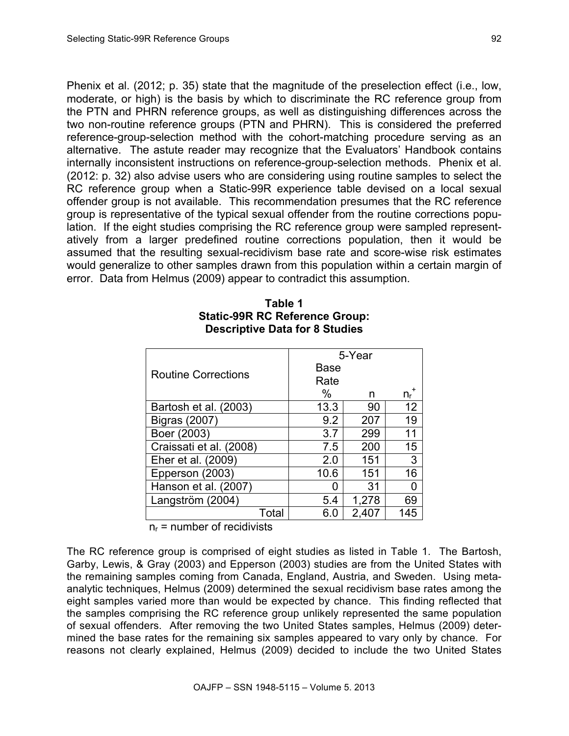Phenix et al. (2012; p. 35) state that the magnitude of the preselection effect (i.e., low, moderate, or high) is the basis by which to discriminate the RC reference group from the PTN and PHRN reference groups, as well as distinguishing differences across the two non-routine reference groups (PTN and PHRN). This is considered the preferred reference-group-selection method with the cohort-matching procedure serving as an

alternative. The astute reader may recognize that the Evaluators' Handbook contains internally inconsistent instructions on reference-group-selection methods. Phenix et al. (2012: p. 32) also advise users who are considering using routine samples to select the RC reference group when a Static-99R experience table devised on a local sexual offender group is not available. This recommendation presumes that the RC reference group is representative of the typical sexual offender from the routine corrections population. If the eight studies comprising the RC reference group were sampled representatively from a larger predefined routine corrections population, then it would be assumed that the resulting sexual-recidivism base rate and score-wise risk estimates would generalize to other samples drawn from this population within a certain margin of error. Data from Helmus (2009) appear to contradict this assumption.

|                            | 5-Year      |       |         |  |
|----------------------------|-------------|-------|---------|--|
| <b>Routine Corrections</b> | <b>Base</b> |       |         |  |
|                            | Rate        |       |         |  |
|                            | $\%$        | n     | $n_{r}$ |  |
| Bartosh et al. (2003)      | 13.3        | 90    | 12      |  |
| <b>Bigras (2007)</b>       | 9.2         | 207   | 19      |  |
| Boer (2003)                | 3.7         | 299   | 11      |  |
| Craissati et al. (2008)    | 7.5         | 200   | 15      |  |
| Eher et al. (2009)         | 2.0         | 151   | 3       |  |
| Epperson (2003)            | 10.6        | 151   | 16      |  |
| Hanson et al. (2007)       | O           | 31    | O       |  |
| Langström (2004)           | 5.4         | 1,278 | 69      |  |
| Total                      | 6.0         | 2,407 | 145     |  |

# **Table 1 Static-99R RC Reference Group: Descriptive Data for 8 Studies**

 $n_r$  = number of recidivists

The RC reference group is comprised of eight studies as listed in Table 1. The Bartosh, Garby, Lewis, & Gray (2003) and Epperson (2003) studies are from the United States with the remaining samples coming from Canada, England, Austria, and Sweden. Using metaanalytic techniques, Helmus (2009) determined the sexual recidivism base rates among the eight samples varied more than would be expected by chance. This finding reflected that the samples comprising the RC reference group unlikely represented the same population of sexual offenders. After removing the two United States samples, Helmus (2009) determined the base rates for the remaining six samples appeared to vary only by chance. For reasons not clearly explained, Helmus (2009) decided to include the two United States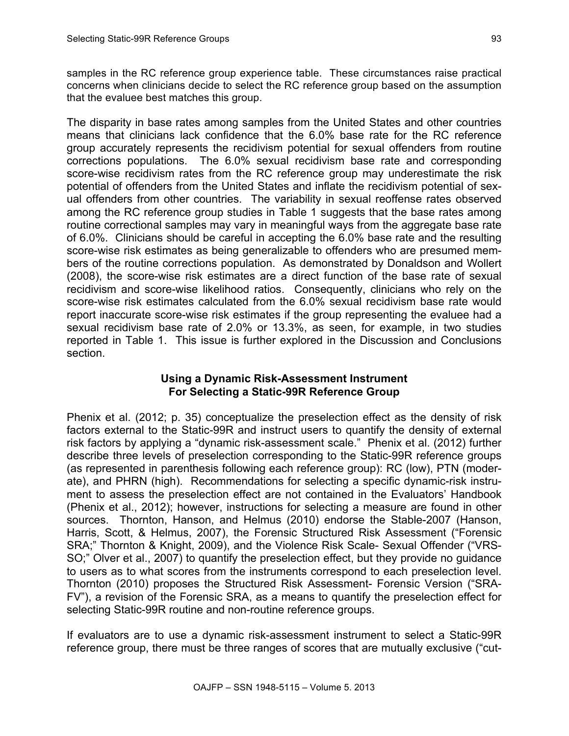samples in the RC reference group experience table. These circumstances raise practical concerns when clinicians decide to select the RC reference group based on the assumption that the evaluee best matches this group.

The disparity in base rates among samples from the United States and other countries means that clinicians lack confidence that the 6.0% base rate for the RC reference group accurately represents the recidivism potential for sexual offenders from routine corrections populations. The 6.0% sexual recidivism base rate and corresponding score-wise recidivism rates from the RC reference group may underestimate the risk potential of offenders from the United States and inflate the recidivism potential of sexual offenders from other countries. The variability in sexual reoffense rates observed among the RC reference group studies in Table 1 suggests that the base rates among routine correctional samples may vary in meaningful ways from the aggregate base rate of 6.0%. Clinicians should be careful in accepting the 6.0% base rate and the resulting score-wise risk estimates as being generalizable to offenders who are presumed members of the routine corrections population. As demonstrated by Donaldson and Wollert (2008), the score-wise risk estimates are a direct function of the base rate of sexual recidivism and score-wise likelihood ratios. Consequently, clinicians who rely on the score-wise risk estimates calculated from the 6.0% sexual recidivism base rate would report inaccurate score-wise risk estimates if the group representing the evaluee had a sexual recidivism base rate of 2.0% or 13.3%, as seen, for example, in two studies reported in Table 1. This issue is further explored in the Discussion and Conclusions section.

## **Using a Dynamic Risk-Assessment Instrument For Selecting a Static-99R Reference Group**

Phenix et al. (2012; p. 35) conceptualize the preselection effect as the density of risk factors external to the Static-99R and instruct users to quantify the density of external risk factors by applying a "dynamic risk-assessment scale." Phenix et al. (2012) further describe three levels of preselection corresponding to the Static-99R reference groups (as represented in parenthesis following each reference group): RC (low), PTN (moderate), and PHRN (high). Recommendations for selecting a specific dynamic-risk instrument to assess the preselection effect are not contained in the Evaluators' Handbook (Phenix et al., 2012); however, instructions for selecting a measure are found in other sources. Thornton, Hanson, and Helmus (2010) endorse the Stable-2007 (Hanson, Harris, Scott, & Helmus, 2007), the Forensic Structured Risk Assessment ("Forensic SRA;" Thornton & Knight, 2009), and the Violence Risk Scale- Sexual Offender ("VRS-SO;" Olver et al., 2007) to quantify the preselection effect, but they provide no guidance to users as to what scores from the instruments correspond to each preselection level. Thornton (2010) proposes the Structured Risk Assessment- Forensic Version ("SRA-FV"), a revision of the Forensic SRA, as a means to quantify the preselection effect for selecting Static-99R routine and non-routine reference groups.

If evaluators are to use a dynamic risk-assessment instrument to select a Static-99R reference group, there must be three ranges of scores that are mutually exclusive ("cut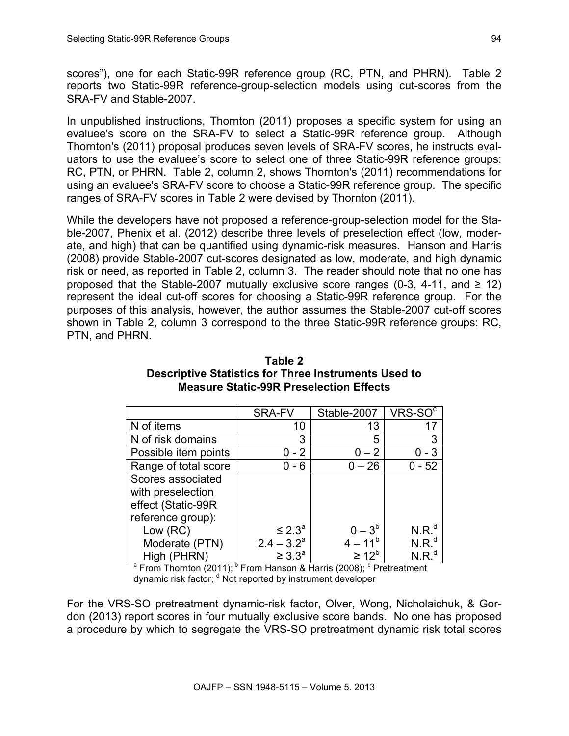scores"), one for each Static-99R reference group (RC, PTN, and PHRN). Table 2 reports two Static-99R reference-group-selection models using cut-scores from the SRA-FV and Stable-2007.

In unpublished instructions, Thornton (2011) proposes a specific system for using an evaluee's score on the SRA-FV to select a Static-99R reference group. Although Thornton's (2011) proposal produces seven levels of SRA-FV scores, he instructs evaluators to use the evaluee's score to select one of three Static-99R reference groups: RC, PTN, or PHRN. Table 2, column 2, shows Thornton's (2011) recommendations for using an evaluee's SRA-FV score to choose a Static-99R reference group. The specific ranges of SRA-FV scores in Table 2 were devised by Thornton (2011).

While the developers have not proposed a reference-group-selection model for the Stable-2007, Phenix et al. (2012) describe three levels of preselection effect (low, moderate, and high) that can be quantified using dynamic-risk measures. Hanson and Harris (2008) provide Stable-2007 cut-scores designated as low, moderate, and high dynamic risk or need, as reported in Table 2, column 3. The reader should note that no one has proposed that the Stable-2007 mutually exclusive score ranges (0-3, 4-11, and  $\geq$  12) represent the ideal cut-off scores for choosing a Static-99R reference group. For the purposes of this analysis, however, the author assumes the Stable-2007 cut-off scores shown in Table 2, column 3 correspond to the three Static-99R reference groups: RC, PTN, and PHRN.

|                      | <b>SRA-FV</b>      | Stable-2007       | $VRS-SOc$         |
|----------------------|--------------------|-------------------|-------------------|
| N of items           | 10                 | 13                | 17                |
| N of risk domains    | 3                  | 5                 | 3                 |
| Possible item points | 0 - 2              | $-2$              | - 3               |
| Range of total score | - 6                | $0 - 26$          | $-52$             |
| Scores associated    |                    |                   |                   |
| with preselection    |                    |                   |                   |
| effect (Static-99R   |                    |                   |                   |
| reference group):    |                    |                   |                   |
| Low (RC)             | $\leq 2.3^a$       | $-3^{6}$          | N.R. <sup>d</sup> |
| Moderate (PTN)       | $2.4 - 3.2a$       | $4 - 11^{b}$      | $N.R.^d$          |
| High (PHRN)          | $\geq 3.3^{\circ}$ | $\geq 12^{\circ}$ | $N.R.^d$          |

| Table 2                                              |  |  |  |  |
|------------------------------------------------------|--|--|--|--|
| Descriptive Statistics for Three Instruments Used to |  |  |  |  |
| <b>Measure Static-99R Preselection Effects</b>       |  |  |  |  |

 $a^2$  From Thornton (2011);  $b^D$  From Hanson & Harris (2008);  $c^C$  Pretreatment dynamic risk factor;  $d$  Not reported by instrument developer

For the VRS-SO pretreatment dynamic-risk factor, Olver, Wong, Nicholaichuk, & Gordon (2013) report scores in four mutually exclusive score bands. No one has proposed a procedure by which to segregate the VRS-SO pretreatment dynamic risk total scores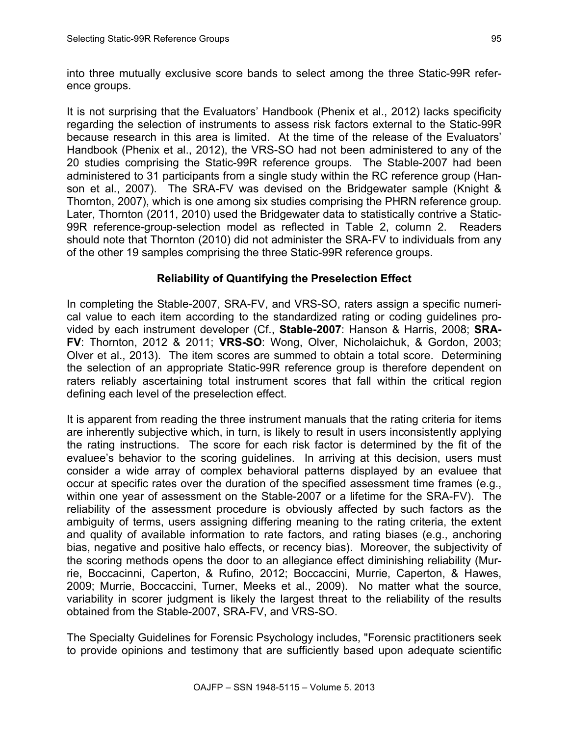into three mutually exclusive score bands to select among the three Static-99R reference groups.

It is not surprising that the Evaluators' Handbook (Phenix et al., 2012) lacks specificity regarding the selection of instruments to assess risk factors external to the Static-99R because research in this area is limited. At the time of the release of the Evaluators' Handbook (Phenix et al., 2012), the VRS-SO had not been administered to any of the 20 studies comprising the Static-99R reference groups. The Stable-2007 had been administered to 31 participants from a single study within the RC reference group (Hanson et al., 2007). The SRA-FV was devised on the Bridgewater sample (Knight & Thornton, 2007), which is one among six studies comprising the PHRN reference group. Later, Thornton (2011, 2010) used the Bridgewater data to statistically contrive a Static-99R reference-group-selection model as reflected in Table 2, column 2. Readers should note that Thornton (2010) did not administer the SRA-FV to individuals from any of the other 19 samples comprising the three Static-99R reference groups.

# **Reliability of Quantifying the Preselection Effect**

In completing the Stable-2007, SRA-FV, and VRS-SO, raters assign a specific numerical value to each item according to the standardized rating or coding guidelines provided by each instrument developer (Cf., **Stable-2007**: Hanson & Harris, 2008; **SRA-FV**: Thornton, 2012 & 2011; **VRS-SO**: Wong, Olver, Nicholaichuk, & Gordon, 2003; Olver et al., 2013). The item scores are summed to obtain a total score. Determining the selection of an appropriate Static-99R reference group is therefore dependent on raters reliably ascertaining total instrument scores that fall within the critical region defining each level of the preselection effect.

It is apparent from reading the three instrument manuals that the rating criteria for items are inherently subjective which, in turn, is likely to result in users inconsistently applying the rating instructions. The score for each risk factor is determined by the fit of the evaluee's behavior to the scoring guidelines. In arriving at this decision, users must consider a wide array of complex behavioral patterns displayed by an evaluee that occur at specific rates over the duration of the specified assessment time frames (e.g., within one year of assessment on the Stable-2007 or a lifetime for the SRA-FV). The reliability of the assessment procedure is obviously affected by such factors as the ambiguity of terms, users assigning differing meaning to the rating criteria, the extent and quality of available information to rate factors, and rating biases (e.g., anchoring bias, negative and positive halo effects, or recency bias). Moreover, the subjectivity of the scoring methods opens the door to an allegiance effect diminishing reliability (Murrie, Boccacinni, Caperton, & Rufino, 2012; Boccaccini, Murrie, Caperton, & Hawes, 2009; Murrie, Boccaccini, Turner, Meeks et al., 2009). No matter what the source, variability in scorer judgment is likely the largest threat to the reliability of the results obtained from the Stable-2007, SRA-FV, and VRS-SO.

The Specialty Guidelines for Forensic Psychology includes, "Forensic practitioners seek to provide opinions and testimony that are sufficiently based upon adequate scientific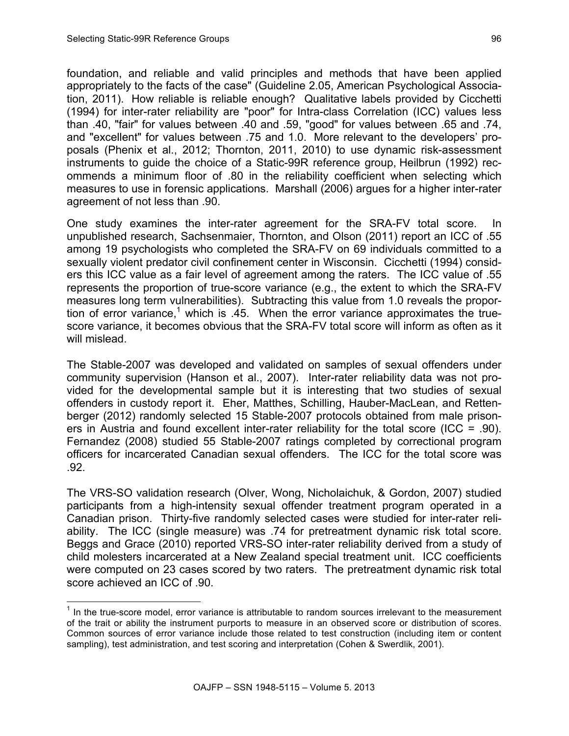foundation, and reliable and valid principles and methods that have been applied appropriately to the facts of the case" (Guideline 2.05, American Psychological Association, 2011). How reliable is reliable enough? Qualitative labels provided by Cicchetti (1994) for inter-rater reliability are "poor" for Intra-class Correlation (ICC) values less than .40, "fair" for values between .40 and .59, "good" for values between .65 and .74, and "excellent" for values between .75 and 1.0. More relevant to the developers' proposals (Phenix et al., 2012; Thornton, 2011, 2010) to use dynamic risk-assessment instruments to guide the choice of a Static-99R reference group, Heilbrun (1992) recommends a minimum floor of .80 in the reliability coefficient when selecting which measures to use in forensic applications. Marshall (2006) argues for a higher inter-rater agreement of not less than .90.

One study examines the inter-rater agreement for the SRA-FV total score. In unpublished research, Sachsenmaier, Thornton, and Olson (2011) report an ICC of .55 among 19 psychologists who completed the SRA-FV on 69 individuals committed to a sexually violent predator civil confinement center in Wisconsin. Cicchetti (1994) considers this ICC value as a fair level of agreement among the raters. The ICC value of .55 represents the proportion of true-score variance (e.g., the extent to which the SRA-FV measures long term vulnerabilities). Subtracting this value from 1.0 reveals the proportion of error variance,<sup>1</sup> which is .45. When the error variance approximates the truescore variance, it becomes obvious that the SRA-FV total score will inform as often as it will mislead.

The Stable-2007 was developed and validated on samples of sexual offenders under community supervision (Hanson et al., 2007). Inter-rater reliability data was not provided for the developmental sample but it is interesting that two studies of sexual offenders in custody report it. Eher, Matthes, Schilling, Hauber-MacLean, and Rettenberger (2012) randomly selected 15 Stable-2007 protocols obtained from male prisoners in Austria and found excellent inter-rater reliability for the total score (ICC = .90). Fernandez (2008) studied 55 Stable-2007 ratings completed by correctional program officers for incarcerated Canadian sexual offenders. The ICC for the total score was .92.

The VRS-SO validation research (Olver, Wong, Nicholaichuk, & Gordon, 2007) studied participants from a high-intensity sexual offender treatment program operated in a Canadian prison. Thirty-five randomly selected cases were studied for inter-rater reliability. The ICC (single measure) was .74 for pretreatment dynamic risk total score. Beggs and Grace (2010) reported VRS-SO inter-rater reliability derived from a study of child molesters incarcerated at a New Zealand special treatment unit. ICC coefficients were computed on 23 cases scored by two raters. The pretreatment dynamic risk total score achieved an ICC of .90.

 $<sup>1</sup>$  In the true-score model, error variance is attributable to random sources irrelevant to the measurement</sup> of the trait or ability the instrument purports to measure in an observed score or distribution of scores. Common sources of error variance include those related to test construction (including item or content sampling), test administration, and test scoring and interpretation (Cohen & Swerdlik, 2001).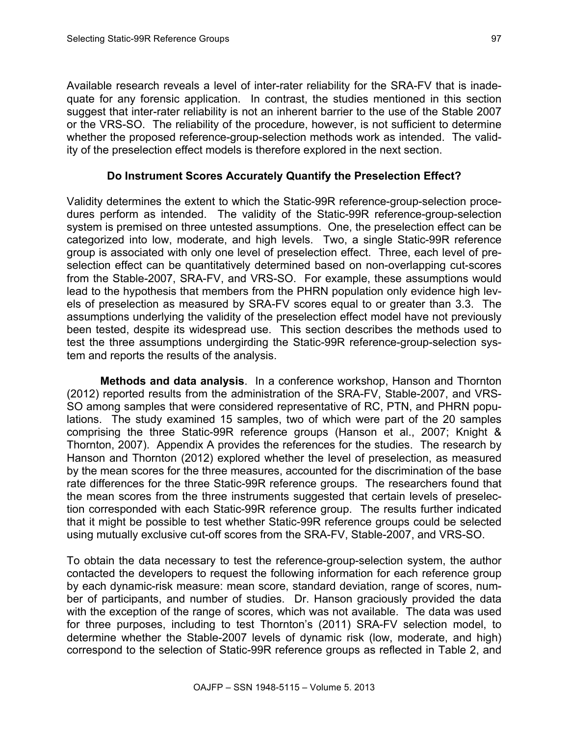Available research reveals a level of inter-rater reliability for the SRA-FV that is inadequate for any forensic application. In contrast, the studies mentioned in this section suggest that inter-rater reliability is not an inherent barrier to the use of the Stable 2007 or the VRS-SO. The reliability of the procedure, however, is not sufficient to determine whether the proposed reference-group-selection methods work as intended. The validity of the preselection effect models is therefore explored in the next section.

#### **Do Instrument Scores Accurately Quantify the Preselection Effect?**

Validity determines the extent to which the Static-99R reference-group-selection procedures perform as intended. The validity of the Static-99R reference-group-selection system is premised on three untested assumptions. One, the preselection effect can be categorized into low, moderate, and high levels. Two, a single Static-99R reference group is associated with only one level of preselection effect. Three, each level of preselection effect can be quantitatively determined based on non-overlapping cut-scores from the Stable-2007, SRA-FV, and VRS-SO. For example, these assumptions would lead to the hypothesis that members from the PHRN population only evidence high levels of preselection as measured by SRA-FV scores equal to or greater than 3.3. The assumptions underlying the validity of the preselection effect model have not previously been tested, despite its widespread use. This section describes the methods used to test the three assumptions undergirding the Static-99R reference-group-selection system and reports the results of the analysis.

**Methods and data analysis**. In a conference workshop, Hanson and Thornton (2012) reported results from the administration of the SRA-FV, Stable-2007, and VRS-SO among samples that were considered representative of RC, PTN, and PHRN populations. The study examined 15 samples, two of which were part of the 20 samples comprising the three Static-99R reference groups (Hanson et al., 2007; Knight & Thornton, 2007). Appendix A provides the references for the studies. The research by Hanson and Thornton (2012) explored whether the level of preselection, as measured by the mean scores for the three measures, accounted for the discrimination of the base rate differences for the three Static-99R reference groups. The researchers found that the mean scores from the three instruments suggested that certain levels of preselection corresponded with each Static-99R reference group. The results further indicated that it might be possible to test whether Static-99R reference groups could be selected using mutually exclusive cut-off scores from the SRA-FV, Stable-2007, and VRS-SO.

To obtain the data necessary to test the reference-group-selection system, the author contacted the developers to request the following information for each reference group by each dynamic-risk measure: mean score, standard deviation, range of scores, number of participants, and number of studies. Dr. Hanson graciously provided the data with the exception of the range of scores, which was not available. The data was used for three purposes, including to test Thornton's (2011) SRA-FV selection model, to determine whether the Stable-2007 levels of dynamic risk (low, moderate, and high) correspond to the selection of Static-99R reference groups as reflected in Table 2, and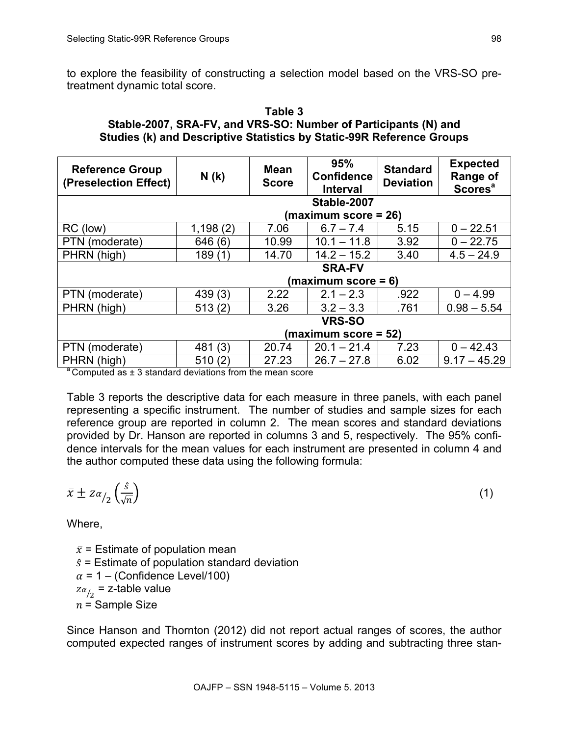to explore the feasibility of constructing a selection model based on the VRS-SO pretreatment dynamic total score.

#### **Table 3 Stable-2007, SRA-FV, and VRS-SO: Number of Participants (N) and Studies (k) and Descriptive Statistics by Static-99R Reference Groups**

| <b>Reference Group</b><br>(Preselection Effect) | N(k)                 | <b>Mean</b><br><b>Score</b> | 95%<br><b>Confidence</b><br><b>Interval</b> | <b>Standard</b><br><b>Deviation</b> | <b>Expected</b><br>Range of<br><b>Scores<sup>a</sup></b> |
|-------------------------------------------------|----------------------|-----------------------------|---------------------------------------------|-------------------------------------|----------------------------------------------------------|
| Stable-2007                                     |                      |                             |                                             |                                     |                                                          |
|                                                 | (maximum score = 26) |                             |                                             |                                     |                                                          |
| RC (low)                                        | 1,198(2)             | 7.06                        | $6.7 - 7.4$                                 | 5.15                                | $0 - 22.51$                                              |
| PTN (moderate)                                  | 646 (6)              | 10.99                       | $10.1 - 11.8$                               | 3.92                                | $0 - 22.75$                                              |
| PHRN (high)                                     | 189(1)               | 14.70                       | $14.2 - 15.2$                               | 3.40                                | $4.5 - 24.9$                                             |
|                                                 | <b>SRA-FV</b>        |                             |                                             |                                     |                                                          |
|                                                 |                      |                             | (maximum score = 6)                         |                                     |                                                          |
| PTN (moderate)                                  | 439(3)               | 2.22                        | $2.1 - 2.3$                                 | .922                                | $0 - 4.99$                                               |
| PHRN (high)                                     | 513(2)               | 3.26                        | $3.2 - 3.3$                                 | .761                                | $0.98 - 5.54$                                            |
|                                                 | <b>VRS-SO</b>        |                             |                                             |                                     |                                                          |
|                                                 | (maximum score = 52) |                             |                                             |                                     |                                                          |
| PTN (moderate)                                  | 481 (3)              | 20.74                       | $20.1 - 21.4$                               | 7.23                                | $0 - 42.43$                                              |
| PHRN (high)<br>$\sim$                           | 510(2)               | 27.23                       | $26.7 - 27.8$                               | 6.02                                | $9.17 - 45.29$                                           |

Computed as  $\pm$  3 standard deviations from the mean score

Table 3 reports the descriptive data for each measure in three panels, with each panel representing a specific instrument. The number of studies and sample sizes for each reference group are reported in column 2. The mean scores and standard deviations provided by Dr. Hanson are reported in columns 3 and 5, respectively. The 95% confidence intervals for the mean values for each instrument are presented in column 4 and the author computed these data using the following formula:

$$
\bar{x} \pm z \alpha_{/2} \left(\frac{\hat{s}}{\sqrt{n}}\right) \tag{1}
$$

Where,

 $\bar{x}$  = Estimate of population mean  $\hat{s}$  = Estimate of population standard deviation  $\alpha$  = 1 – (Confidence Level/100)  $z\alpha_{/2}$  = z-table value  $n =$  Sample Size

Since Hanson and Thornton (2012) did not report actual ranges of scores, the author computed expected ranges of instrument scores by adding and subtracting three stan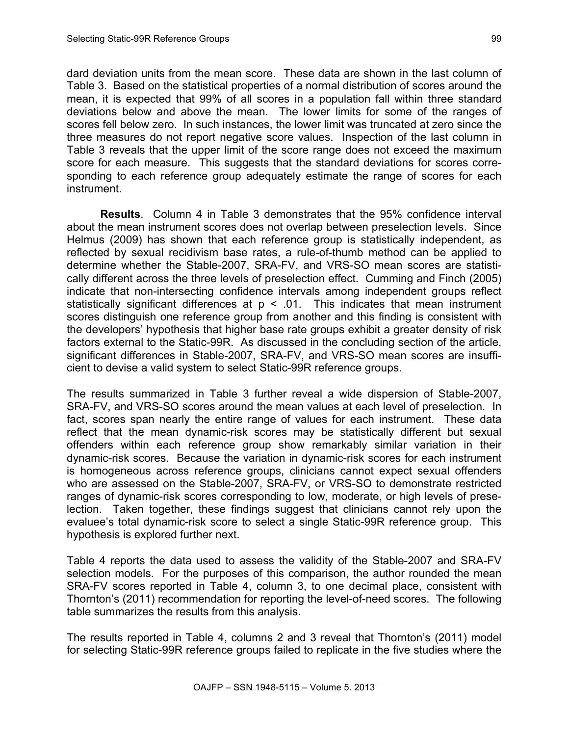dard deviation units from the mean score. These data are shown in the last column of Table 3. Based on the statistical properties of a normal distribution of scores around the mean, it is expected that 99% of all scores in a population fall within three standard deviations below and above the mean. The lower limits for some of the ranges of scores fell below zero. In such instances, the lower limit was truncated at zero since the three measures do not report negative score values. Inspection of the last column in Table 3 reveals that the upper limit of the score range does not exceed the maximum score for each measure. This suggests that the standard deviations for scores corresponding to each reference group adequately estimate the range of scores for each instrument.

**Results**. Column 4 in Table 3 demonstrates that the 95% confidence interval about the mean instrument scores does not overlap between preselection levels. Since Helmus (2009) has shown that each reference group is statistically independent, as reflected by sexual recidivism base rates, a rule-of-thumb method can be applied to determine whether the Stable-2007, SRA-FV, and VRS-SO mean scores are statistically different across the three levels of preselection effect. Cumming and Finch (2005) indicate that non-intersecting confidence intervals among independent groups reflect statistically significant differences at  $p < 0.01$ . This indicates that mean instrument scores distinguish one reference group from another and this finding is consistent with the developers' hypothesis that higher base rate groups exhibit a greater density of risk factors external to the Static-99R. As discussed in the concluding section of the article, significant differences in Stable-2007, SRA-FV, and VRS-SO mean scores are insufficient to devise a valid system to select Static-99R reference groups.

The results summarized in Table 3 further reveal a wide dispersion of Stable-2007, SRA-FV, and VRS-SO scores around the mean values at each level of preselection. In fact, scores span nearly the entire range of values for each instrument. These data reflect that the mean dynamic-risk scores may be statistically different but sexual offenders within each reference group show remarkably similar variation in their dynamic-risk scores. Because the variation in dynamic-risk scores for each instrument is homogeneous across reference groups, clinicians cannot expect sexual offenders who are assessed on the Stable-2007, SRA-FV, or VRS-SO to demonstrate restricted ranges of dynamic-risk scores corresponding to low, moderate, or high levels of preselection. Taken together, these findings suggest that clinicians cannot rely upon the evaluee's total dynamic-risk score to select a single Static-99R reference group. This hypothesis is explored further next.

Table 4 reports the data used to assess the validity of the Stable-2007 and SRA-FV selection models. For the purposes of this comparison, the author rounded the mean SRA-FV scores reported in Table 4, column 3, to one decimal place, consistent with Thornton's (2011) recommendation for reporting the level-of-need scores. The following table summarizes the results from this analysis.

The results reported in Table 4, columns 2 and 3 reveal that Thornton's (2011) model for selecting Static-99R reference groups failed to replicate in the five studies where the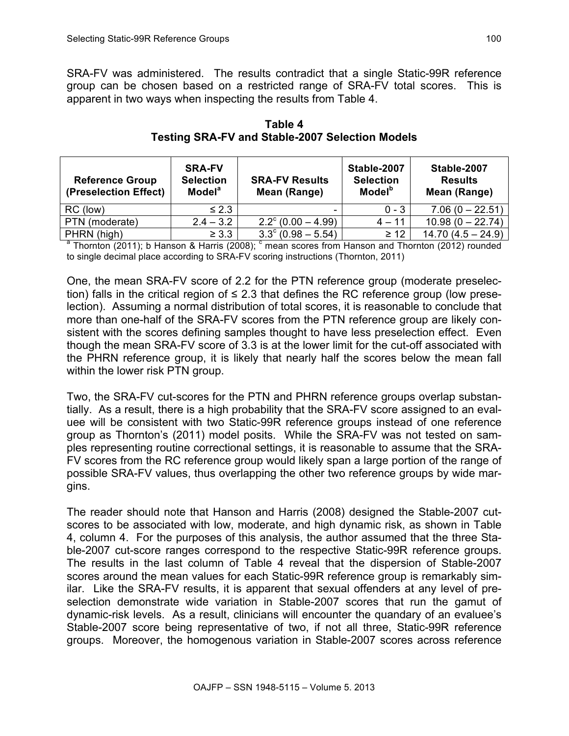SRA-FV was administered. The results contradict that a single Static-99R reference group can be chosen based on a restricted range of SRA-FV total scores. This is apparent in two ways when inspecting the results from Table 4.

| <b>Reference Group</b><br>(Preselection Effect) | <b>SRA-FV</b><br><b>Selection</b><br><b>Model</b> <sup>a</sup> | <b>SRA-FV Results</b><br>Mean (Range) | Stable-2007<br><b>Selection</b><br><b>Model</b> <sup>b</sup> | Stable-2007<br><b>Results</b><br>Mean (Range) |
|-------------------------------------------------|----------------------------------------------------------------|---------------------------------------|--------------------------------------------------------------|-----------------------------------------------|
| RC (low)                                        | $\leq 2.3$                                                     |                                       | $0 - 3$                                                      | $7.06(0 - 22.51)$                             |
| PTN (moderate)                                  | $2.4 - 3.2$                                                    | $2.2^{\circ}$ (0.00 - 4.99)           | $4 - 11$                                                     | $10.98(0 - 22.74)$                            |
| PHRN (high)                                     | $\geq 3.3$                                                     | $3.3^{\circ}$ (0.98 – 5.54)           | $\geq 12$                                                    | $14.70(4.5 - 24.9)$                           |

**Table 4 Testing SRA-FV and Stable-2007 Selection Models**

 $^{\circ}$  Thornton (2011); b Hanson & Harris (2008);  $^{\circ}$  mean scores from Hanson and Thornton (2012) rounded to single decimal place according to SRA-FV scoring instructions (Thornton, 2011)

One, the mean SRA-FV score of 2.2 for the PTN reference group (moderate preselection) falls in the critical region of ≤ 2.3 that defines the RC reference group (low preselection). Assuming a normal distribution of total scores, it is reasonable to conclude that more than one-half of the SRA-FV scores from the PTN reference group are likely consistent with the scores defining samples thought to have less preselection effect. Even though the mean SRA-FV score of 3.3 is at the lower limit for the cut-off associated with the PHRN reference group, it is likely that nearly half the scores below the mean fall within the lower risk PTN group.

Two, the SRA-FV cut-scores for the PTN and PHRN reference groups overlap substantially. As a result, there is a high probability that the SRA-FV score assigned to an evaluee will be consistent with two Static-99R reference groups instead of one reference group as Thornton's (2011) model posits. While the SRA-FV was not tested on samples representing routine correctional settings, it is reasonable to assume that the SRA-FV scores from the RC reference group would likely span a large portion of the range of possible SRA-FV values, thus overlapping the other two reference groups by wide margins.

The reader should note that Hanson and Harris (2008) designed the Stable-2007 cutscores to be associated with low, moderate, and high dynamic risk, as shown in Table 4, column 4. For the purposes of this analysis, the author assumed that the three Stable-2007 cut-score ranges correspond to the respective Static-99R reference groups. The results in the last column of Table 4 reveal that the dispersion of Stable-2007 scores around the mean values for each Static-99R reference group is remarkably similar. Like the SRA-FV results, it is apparent that sexual offenders at any level of preselection demonstrate wide variation in Stable-2007 scores that run the gamut of dynamic-risk levels. As a result, clinicians will encounter the quandary of an evaluee's Stable-2007 score being representative of two, if not all three, Static-99R reference groups. Moreover, the homogenous variation in Stable-2007 scores across reference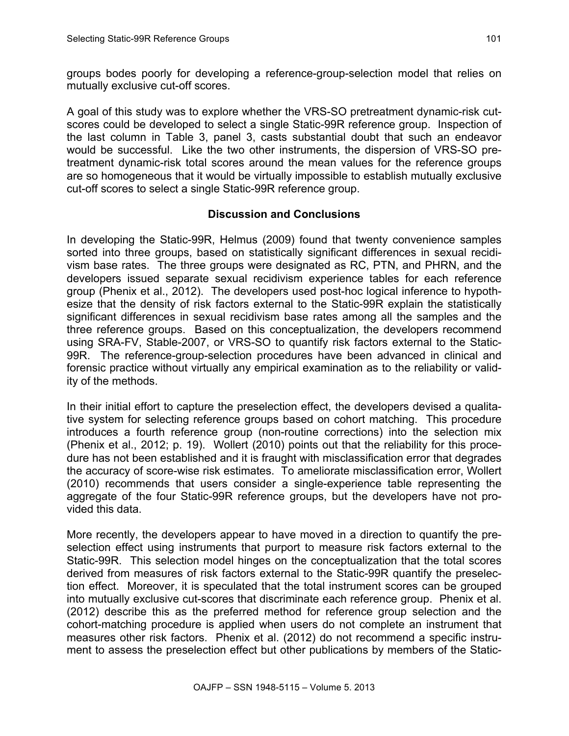groups bodes poorly for developing a reference-group-selection model that relies on mutually exclusive cut-off scores.

A goal of this study was to explore whether the VRS-SO pretreatment dynamic-risk cutscores could be developed to select a single Static-99R reference group. Inspection of the last column in Table 3, panel 3, casts substantial doubt that such an endeavor would be successful. Like the two other instruments, the dispersion of VRS-SO pretreatment dynamic-risk total scores around the mean values for the reference groups are so homogeneous that it would be virtually impossible to establish mutually exclusive cut-off scores to select a single Static-99R reference group.

# **Discussion and Conclusions**

In developing the Static-99R, Helmus (2009) found that twenty convenience samples sorted into three groups, based on statistically significant differences in sexual recidivism base rates. The three groups were designated as RC, PTN, and PHRN, and the developers issued separate sexual recidivism experience tables for each reference group (Phenix et al., 2012). The developers used post-hoc logical inference to hypothesize that the density of risk factors external to the Static-99R explain the statistically significant differences in sexual recidivism base rates among all the samples and the three reference groups. Based on this conceptualization, the developers recommend using SRA-FV, Stable-2007, or VRS-SO to quantify risk factors external to the Static-99R. The reference-group-selection procedures have been advanced in clinical and forensic practice without virtually any empirical examination as to the reliability or validity of the methods.

In their initial effort to capture the preselection effect, the developers devised a qualitative system for selecting reference groups based on cohort matching. This procedure introduces a fourth reference group (non-routine corrections) into the selection mix (Phenix et al., 2012; p. 19). Wollert (2010) points out that the reliability for this procedure has not been established and it is fraught with misclassification error that degrades the accuracy of score-wise risk estimates. To ameliorate misclassification error, Wollert (2010) recommends that users consider a single-experience table representing the aggregate of the four Static-99R reference groups, but the developers have not provided this data.

More recently, the developers appear to have moved in a direction to quantify the preselection effect using instruments that purport to measure risk factors external to the Static-99R. This selection model hinges on the conceptualization that the total scores derived from measures of risk factors external to the Static-99R quantify the preselection effect. Moreover, it is speculated that the total instrument scores can be grouped into mutually exclusive cut-scores that discriminate each reference group. Phenix et al. (2012) describe this as the preferred method for reference group selection and the cohort-matching procedure is applied when users do not complete an instrument that measures other risk factors. Phenix et al. (2012) do not recommend a specific instrument to assess the preselection effect but other publications by members of the Static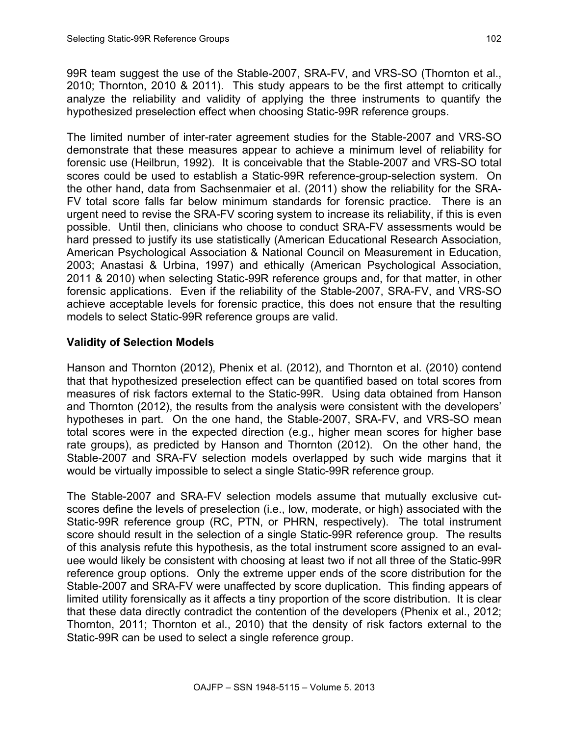99R team suggest the use of the Stable-2007, SRA-FV, and VRS-SO (Thornton et al., 2010; Thornton, 2010 & 2011). This study appears to be the first attempt to critically analyze the reliability and validity of applying the three instruments to quantify the hypothesized preselection effect when choosing Static-99R reference groups.

The limited number of inter-rater agreement studies for the Stable-2007 and VRS-SO demonstrate that these measures appear to achieve a minimum level of reliability for forensic use (Heilbrun, 1992). It is conceivable that the Stable-2007 and VRS-SO total scores could be used to establish a Static-99R reference-group-selection system. On the other hand, data from Sachsenmaier et al. (2011) show the reliability for the SRA-FV total score falls far below minimum standards for forensic practice. There is an urgent need to revise the SRA-FV scoring system to increase its reliability, if this is even possible. Until then, clinicians who choose to conduct SRA-FV assessments would be hard pressed to justify its use statistically (American Educational Research Association, American Psychological Association & National Council on Measurement in Education, 2003; Anastasi & Urbina, 1997) and ethically (American Psychological Association, 2011 & 2010) when selecting Static-99R reference groups and, for that matter, in other forensic applications. Even if the reliability of the Stable-2007, SRA-FV, and VRS-SO achieve acceptable levels for forensic practice, this does not ensure that the resulting models to select Static-99R reference groups are valid.

# **Validity of Selection Models**

Hanson and Thornton (2012), Phenix et al. (2012), and Thornton et al. (2010) contend that that hypothesized preselection effect can be quantified based on total scores from measures of risk factors external to the Static-99R. Using data obtained from Hanson and Thornton (2012), the results from the analysis were consistent with the developers' hypotheses in part. On the one hand, the Stable-2007, SRA-FV, and VRS-SO mean total scores were in the expected direction (e.g., higher mean scores for higher base rate groups), as predicted by Hanson and Thornton (2012). On the other hand, the Stable-2007 and SRA-FV selection models overlapped by such wide margins that it would be virtually impossible to select a single Static-99R reference group.

The Stable-2007 and SRA-FV selection models assume that mutually exclusive cutscores define the levels of preselection (i.e., low, moderate, or high) associated with the Static-99R reference group (RC, PTN, or PHRN, respectively). The total instrument score should result in the selection of a single Static-99R reference group. The results of this analysis refute this hypothesis, as the total instrument score assigned to an evaluee would likely be consistent with choosing at least two if not all three of the Static-99R reference group options. Only the extreme upper ends of the score distribution for the Stable-2007 and SRA-FV were unaffected by score duplication. This finding appears of limited utility forensically as it affects a tiny proportion of the score distribution. It is clear that these data directly contradict the contention of the developers (Phenix et al., 2012; Thornton, 2011; Thornton et al., 2010) that the density of risk factors external to the Static-99R can be used to select a single reference group.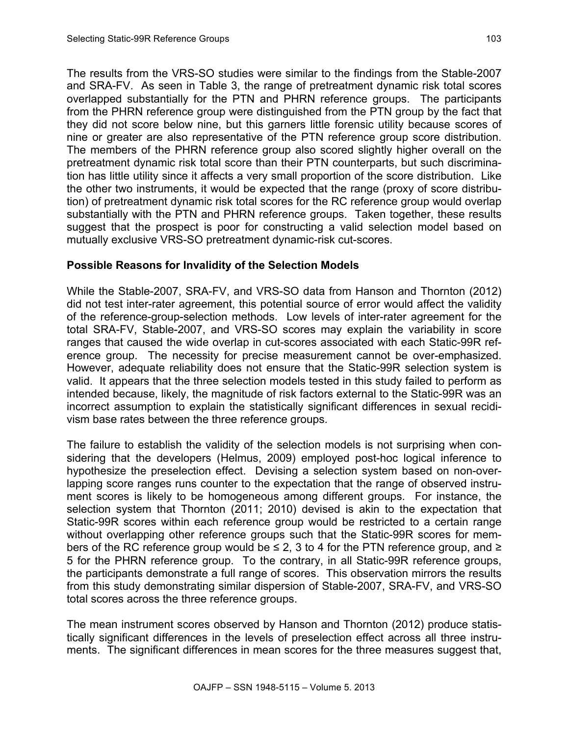The results from the VRS-SO studies were similar to the findings from the Stable-2007 and SRA-FV. As seen in Table 3, the range of pretreatment dynamic risk total scores overlapped substantially for the PTN and PHRN reference groups. The participants from the PHRN reference group were distinguished from the PTN group by the fact that they did not score below nine, but this garners little forensic utility because scores of nine or greater are also representative of the PTN reference group score distribution. The members of the PHRN reference group also scored slightly higher overall on the pretreatment dynamic risk total score than their PTN counterparts, but such discrimination has little utility since it affects a very small proportion of the score distribution. Like the other two instruments, it would be expected that the range (proxy of score distribution) of pretreatment dynamic risk total scores for the RC reference group would overlap substantially with the PTN and PHRN reference groups. Taken together, these results suggest that the prospect is poor for constructing a valid selection model based on mutually exclusive VRS-SO pretreatment dynamic-risk cut-scores.

# **Possible Reasons for Invalidity of the Selection Models**

While the Stable-2007, SRA-FV, and VRS-SO data from Hanson and Thornton (2012) did not test inter-rater agreement, this potential source of error would affect the validity of the reference-group-selection methods. Low levels of inter-rater agreement for the total SRA-FV, Stable-2007, and VRS-SO scores may explain the variability in score ranges that caused the wide overlap in cut-scores associated with each Static-99R reference group. The necessity for precise measurement cannot be over-emphasized. However, adequate reliability does not ensure that the Static-99R selection system is valid. It appears that the three selection models tested in this study failed to perform as intended because, likely, the magnitude of risk factors external to the Static-99R was an incorrect assumption to explain the statistically significant differences in sexual recidivism base rates between the three reference groups.

The failure to establish the validity of the selection models is not surprising when considering that the developers (Helmus, 2009) employed post-hoc logical inference to hypothesize the preselection effect. Devising a selection system based on non-overlapping score ranges runs counter to the expectation that the range of observed instrument scores is likely to be homogeneous among different groups. For instance, the selection system that Thornton (2011; 2010) devised is akin to the expectation that Static-99R scores within each reference group would be restricted to a certain range without overlapping other reference groups such that the Static-99R scores for members of the RC reference group would be  $\leq$  2, 3 to 4 for the PTN reference group, and  $\geq$ 5 for the PHRN reference group. To the contrary, in all Static-99R reference groups, the participants demonstrate a full range of scores. This observation mirrors the results from this study demonstrating similar dispersion of Stable-2007, SRA-FV, and VRS-SO total scores across the three reference groups.

The mean instrument scores observed by Hanson and Thornton (2012) produce statistically significant differences in the levels of preselection effect across all three instruments. The significant differences in mean scores for the three measures suggest that,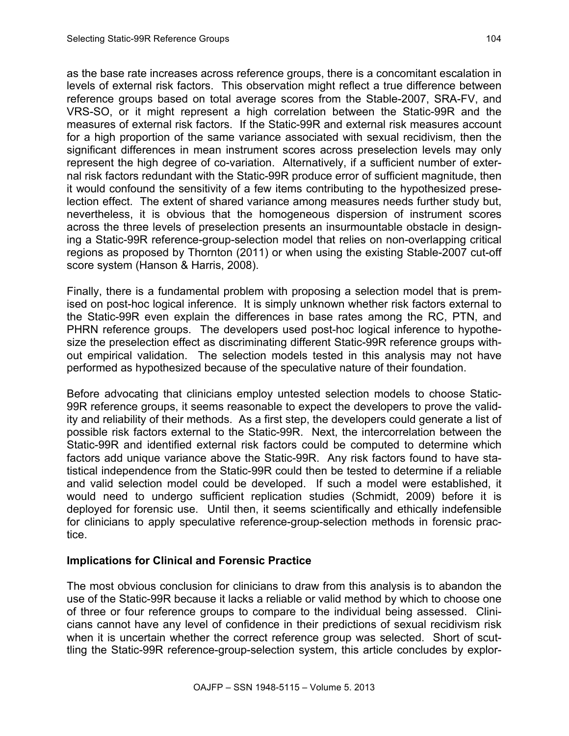as the base rate increases across reference groups, there is a concomitant escalation in levels of external risk factors. This observation might reflect a true difference between reference groups based on total average scores from the Stable-2007, SRA-FV, and VRS-SO, or it might represent a high correlation between the Static-99R and the measures of external risk factors. If the Static-99R and external risk measures account for a high proportion of the same variance associated with sexual recidivism, then the significant differences in mean instrument scores across preselection levels may only represent the high degree of co-variation. Alternatively, if a sufficient number of external risk factors redundant with the Static-99R produce error of sufficient magnitude, then it would confound the sensitivity of a few items contributing to the hypothesized preselection effect. The extent of shared variance among measures needs further study but, nevertheless, it is obvious that the homogeneous dispersion of instrument scores across the three levels of preselection presents an insurmountable obstacle in designing a Static-99R reference-group-selection model that relies on non-overlapping critical regions as proposed by Thornton (2011) or when using the existing Stable-2007 cut-off score system (Hanson & Harris, 2008).

Finally, there is a fundamental problem with proposing a selection model that is premised on post-hoc logical inference. It is simply unknown whether risk factors external to the Static-99R even explain the differences in base rates among the RC, PTN, and PHRN reference groups. The developers used post-hoc logical inference to hypothesize the preselection effect as discriminating different Static-99R reference groups without empirical validation. The selection models tested in this analysis may not have performed as hypothesized because of the speculative nature of their foundation.

Before advocating that clinicians employ untested selection models to choose Static-99R reference groups, it seems reasonable to expect the developers to prove the validity and reliability of their methods. As a first step, the developers could generate a list of possible risk factors external to the Static-99R. Next, the intercorrelation between the Static-99R and identified external risk factors could be computed to determine which factors add unique variance above the Static-99R. Any risk factors found to have statistical independence from the Static-99R could then be tested to determine if a reliable and valid selection model could be developed. If such a model were established, it would need to undergo sufficient replication studies (Schmidt, 2009) before it is deployed for forensic use. Until then, it seems scientifically and ethically indefensible for clinicians to apply speculative reference-group-selection methods in forensic practice.

## **Implications for Clinical and Forensic Practice**

The most obvious conclusion for clinicians to draw from this analysis is to abandon the use of the Static-99R because it lacks a reliable or valid method by which to choose one of three or four reference groups to compare to the individual being assessed. Clinicians cannot have any level of confidence in their predictions of sexual recidivism risk when it is uncertain whether the correct reference group was selected. Short of scuttling the Static-99R reference-group-selection system, this article concludes by explor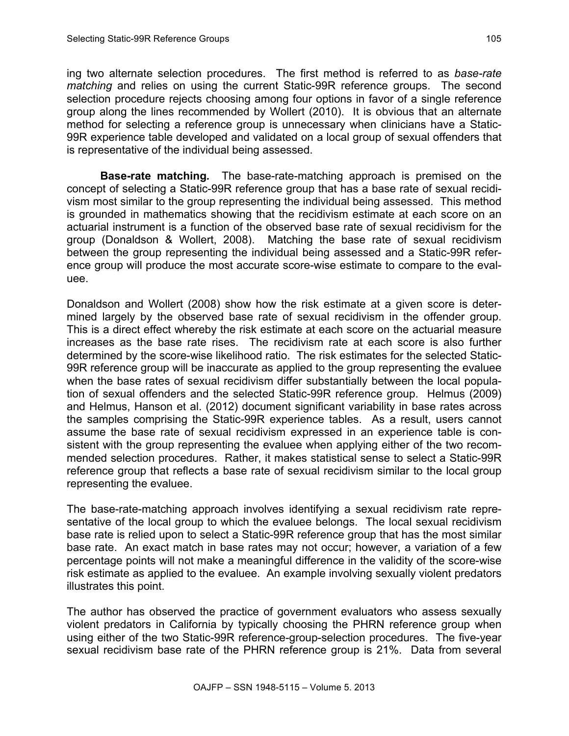ing two alternate selection procedures. The first method is referred to as *base-rate matching* and relies on using the current Static-99R reference groups. The second selection procedure rejects choosing among four options in favor of a single reference group along the lines recommended by Wollert (2010). It is obvious that an alternate method for selecting a reference group is unnecessary when clinicians have a Static-99R experience table developed and validated on a local group of sexual offenders that is representative of the individual being assessed.

**Base-rate matching***.* The base-rate-matching approach is premised on the concept of selecting a Static-99R reference group that has a base rate of sexual recidivism most similar to the group representing the individual being assessed. This method is grounded in mathematics showing that the recidivism estimate at each score on an actuarial instrument is a function of the observed base rate of sexual recidivism for the group (Donaldson & Wollert, 2008). Matching the base rate of sexual recidivism between the group representing the individual being assessed and a Static-99R reference group will produce the most accurate score-wise estimate to compare to the evaluee.

Donaldson and Wollert (2008) show how the risk estimate at a given score is determined largely by the observed base rate of sexual recidivism in the offender group. This is a direct effect whereby the risk estimate at each score on the actuarial measure increases as the base rate rises. The recidivism rate at each score is also further determined by the score-wise likelihood ratio. The risk estimates for the selected Static-99R reference group will be inaccurate as applied to the group representing the evaluee when the base rates of sexual recidivism differ substantially between the local population of sexual offenders and the selected Static-99R reference group. Helmus (2009) and Helmus, Hanson et al. (2012) document significant variability in base rates across the samples comprising the Static-99R experience tables. As a result, users cannot assume the base rate of sexual recidivism expressed in an experience table is consistent with the group representing the evaluee when applying either of the two recommended selection procedures. Rather, it makes statistical sense to select a Static-99R reference group that reflects a base rate of sexual recidivism similar to the local group representing the evaluee.

The base-rate-matching approach involves identifying a sexual recidivism rate representative of the local group to which the evaluee belongs. The local sexual recidivism base rate is relied upon to select a Static-99R reference group that has the most similar base rate. An exact match in base rates may not occur; however, a variation of a few percentage points will not make a meaningful difference in the validity of the score-wise risk estimate as applied to the evaluee. An example involving sexually violent predators illustrates this point.

The author has observed the practice of government evaluators who assess sexually violent predators in California by typically choosing the PHRN reference group when using either of the two Static-99R reference-group-selection procedures. The five-year sexual recidivism base rate of the PHRN reference group is 21%. Data from several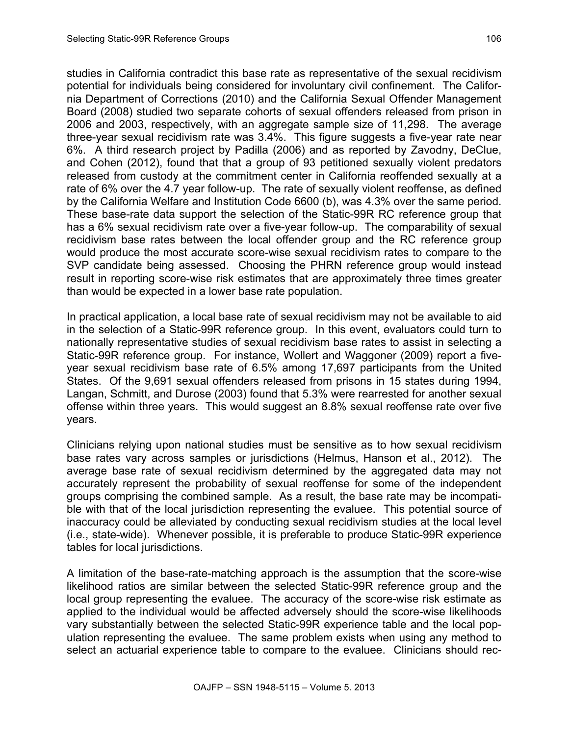studies in California contradict this base rate as representative of the sexual recidivism potential for individuals being considered for involuntary civil confinement. The California Department of Corrections (2010) and the California Sexual Offender Management Board (2008) studied two separate cohorts of sexual offenders released from prison in 2006 and 2003, respectively, with an aggregate sample size of 11,298. The average three-year sexual recidivism rate was 3.4%. This figure suggests a five-year rate near 6%. A third research project by Padilla (2006) and as reported by Zavodny, DeClue, and Cohen (2012), found that that a group of 93 petitioned sexually violent predators released from custody at the commitment center in California reoffended sexually at a rate of 6% over the 4.7 year follow-up. The rate of sexually violent reoffense, as defined by the California Welfare and Institution Code 6600 (b), was 4.3% over the same period. These base-rate data support the selection of the Static-99R RC reference group that has a 6% sexual recidivism rate over a five-year follow-up. The comparability of sexual recidivism base rates between the local offender group and the RC reference group would produce the most accurate score-wise sexual recidivism rates to compare to the SVP candidate being assessed. Choosing the PHRN reference group would instead result in reporting score-wise risk estimates that are approximately three times greater than would be expected in a lower base rate population.

In practical application, a local base rate of sexual recidivism may not be available to aid in the selection of a Static-99R reference group. In this event, evaluators could turn to nationally representative studies of sexual recidivism base rates to assist in selecting a Static-99R reference group. For instance, Wollert and Waggoner (2009) report a fiveyear sexual recidivism base rate of 6.5% among 17,697 participants from the United States. Of the 9,691 sexual offenders released from prisons in 15 states during 1994, Langan, Schmitt, and Durose (2003) found that 5.3% were rearrested for another sexual offense within three years. This would suggest an 8.8% sexual reoffense rate over five years.

Clinicians relying upon national studies must be sensitive as to how sexual recidivism base rates vary across samples or jurisdictions (Helmus, Hanson et al., 2012). The average base rate of sexual recidivism determined by the aggregated data may not accurately represent the probability of sexual reoffense for some of the independent groups comprising the combined sample. As a result, the base rate may be incompatible with that of the local jurisdiction representing the evaluee. This potential source of inaccuracy could be alleviated by conducting sexual recidivism studies at the local level (i.e., state-wide). Whenever possible, it is preferable to produce Static-99R experience tables for local jurisdictions.

A limitation of the base-rate-matching approach is the assumption that the score-wise likelihood ratios are similar between the selected Static-99R reference group and the local group representing the evaluee. The accuracy of the score-wise risk estimate as applied to the individual would be affected adversely should the score-wise likelihoods vary substantially between the selected Static-99R experience table and the local population representing the evaluee. The same problem exists when using any method to select an actuarial experience table to compare to the evaluee. Clinicians should rec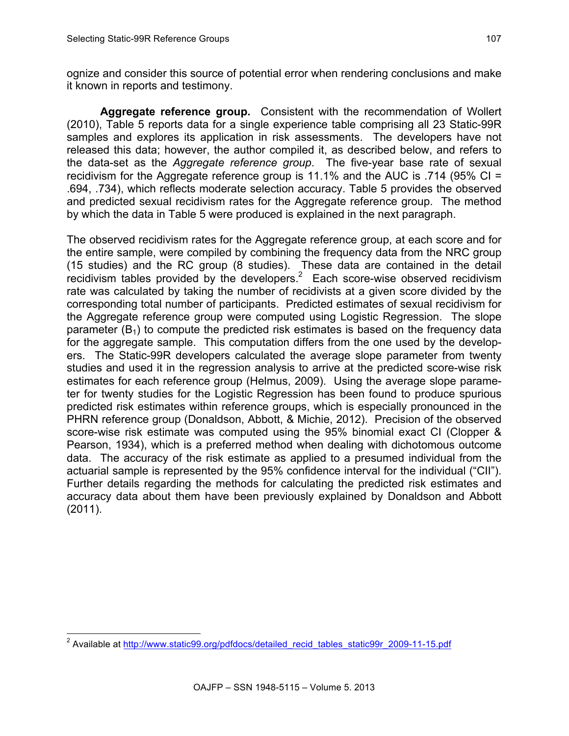ognize and consider this source of potential error when rendering conclusions and make it known in reports and testimony.

**Aggregate reference group.** Consistent with the recommendation of Wollert (2010), Table 5 reports data for a single experience table comprising all 23 Static-99R samples and explores its application in risk assessments. The developers have not released this data; however, the author compiled it, as described below, and refers to the data-set as the *Aggregate reference group*. The five-year base rate of sexual recidivism for the Aggregate reference group is 11.1% and the AUC is .714 (95% CI = .694, .734), which reflects moderate selection accuracy. Table 5 provides the observed and predicted sexual recidivism rates for the Aggregate reference group. The method by which the data in Table 5 were produced is explained in the next paragraph.

The observed recidivism rates for the Aggregate reference group, at each score and for the entire sample, were compiled by combining the frequency data from the NRC group (15 studies) and the RC group (8 studies). These data are contained in the detail recidivism tables provided by the developers.<sup>2</sup> Each score-wise observed recidivism rate was calculated by taking the number of recidivists at a given score divided by the corresponding total number of participants. Predicted estimates of sexual recidivism for the Aggregate reference group were computed using Logistic Regression. The slope parameter  $(B_1)$  to compute the predicted risk estimates is based on the frequency data for the aggregate sample. This computation differs from the one used by the developers. The Static-99R developers calculated the average slope parameter from twenty studies and used it in the regression analysis to arrive at the predicted score-wise risk estimates for each reference group (Helmus, 2009). Using the average slope parameter for twenty studies for the Logistic Regression has been found to produce spurious predicted risk estimates within reference groups, which is especially pronounced in the PHRN reference group (Donaldson, Abbott, & Michie, 2012). Precision of the observed score-wise risk estimate was computed using the 95% binomial exact CI (Clopper & Pearson, 1934), which is a preferred method when dealing with dichotomous outcome data. The accuracy of the risk estimate as applied to a presumed individual from the actuarial sample is represented by the 95% confidence interval for the individual ("CII"). Further details regarding the methods for calculating the predicted risk estimates and accuracy data about them have been previously explained by Donaldson and Abbott (2011).

<sup>&</sup>lt;sup>2</sup> Available at http://www.static99.org/pdfdocs/detailed recid\_tables\_static99r\_2009-11-15.pdf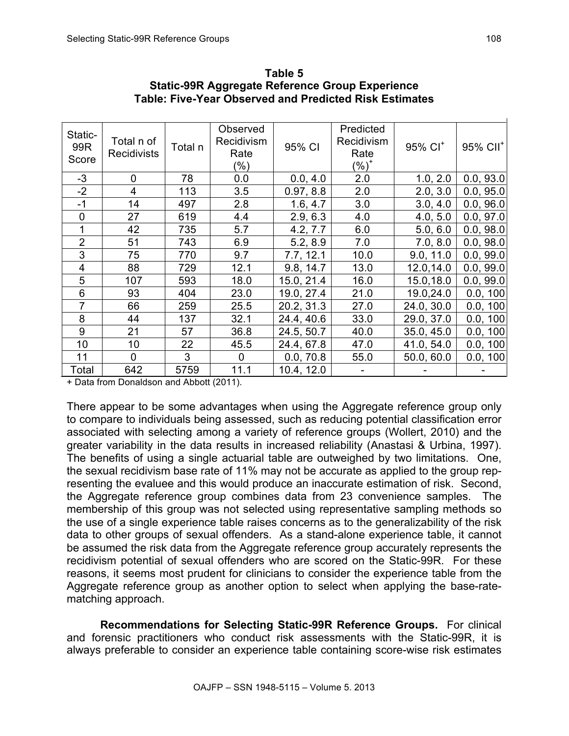| Static-<br>99R<br>Score | Total n of<br><b>Recidivists</b> | Total n | Observed<br>Recidivism<br>Rate<br>$(\% )$ | 95% CI     | Predicted<br>Recidivism<br>Rate<br>$(%)^+$ | $95\%$ CI <sup>+</sup> | 95% CII <sup>+</sup> |
|-------------------------|----------------------------------|---------|-------------------------------------------|------------|--------------------------------------------|------------------------|----------------------|
| $-3$                    | 0                                | 78      | 0.0                                       | 0.0, 4.0   | 2.0                                        | 1.0, 2.0               | 0.0, 93.0            |
| $-2$                    | 4                                | 113     | 3.5                                       | 0.97, 8.8  | 2.0                                        | 2.0, 3.0               | 0.0, 95.0            |
| $-1$                    | 14                               | 497     | 2.8                                       | 1.6, 4.7   | 3.0                                        | 3.0, 4.0               | 0.0, 96.0            |
| $\overline{0}$          | 27                               | 619     | 4.4                                       | 2.9, 6.3   | 4.0                                        | 4.0, 5.0               | 0.0, 97.0            |
| 1                       | 42                               | 735     | 5.7                                       | 4.2, 7.7   | 6.0                                        | 5.0, 6.0               | 0.0, 98.0            |
| $\overline{2}$          | 51                               | 743     | 6.9                                       | 5.2, 8.9   | 7.0                                        | 7.0, 8.0               | 0.0, 98.0            |
| 3                       | 75                               | 770     | 9.7                                       | 7.7, 12.1  | 10.0                                       | 9.0, 11.0              | 0.0, 99.0            |
| $\overline{4}$          | 88                               | 729     | 12.1                                      | 9.8, 14.7  | 13.0                                       | 12.0,14.0              | 0.0, 99.0            |
| 5                       | 107                              | 593     | 18.0                                      | 15.0, 21.4 | 16.0                                       | 15.0,18.0              | 0.0, 99.0            |
| 6                       | 93                               | 404     | 23.0                                      | 19.0, 27.4 | 21.0                                       | 19.0,24.0              | 0.0, 100             |
| $\overline{7}$          | 66                               | 259     | 25.5                                      | 20.2, 31.3 | 27.0                                       | 24.0, 30.0             | 0.0, 100             |
| 8                       | 44                               | 137     | 32.1                                      | 24.4, 40.6 | 33.0                                       | 29.0, 37.0             | 0.0, 100             |
| 9                       | 21                               | 57      | 36.8                                      | 24.5, 50.7 | 40.0                                       | 35.0, 45.0             | 0.0, 100             |
| 10                      | 10                               | 22      | 45.5                                      | 24.4, 67.8 | 47.0                                       | 41.0, 54.0             | 0.0, 100             |
| 11                      | 0                                | 3       | $\mathbf 0$                               | 0.0, 70.8  | 55.0                                       | 50.0, 60.0             | 0.0, 100             |
| Total                   | 642                              | 5759    | 11.1                                      | 10.4, 12.0 |                                            |                        |                      |

**Table 5 Static-99R Aggregate Reference Group Experience Table: Five-Year Observed and Predicted Risk Estimates**

+ Data from Donaldson and Abbott (2011).

There appear to be some advantages when using the Aggregate reference group only to compare to individuals being assessed, such as reducing potential classification error associated with selecting among a variety of reference groups (Wollert, 2010) and the greater variability in the data results in increased reliability (Anastasi & Urbina, 1997). The benefits of using a single actuarial table are outweighed by two limitations. One, the sexual recidivism base rate of 11% may not be accurate as applied to the group representing the evaluee and this would produce an inaccurate estimation of risk. Second, the Aggregate reference group combines data from 23 convenience samples. The membership of this group was not selected using representative sampling methods so the use of a single experience table raises concerns as to the generalizability of the risk data to other groups of sexual offenders. As a stand-alone experience table, it cannot be assumed the risk data from the Aggregate reference group accurately represents the recidivism potential of sexual offenders who are scored on the Static-99R. For these reasons, it seems most prudent for clinicians to consider the experience table from the Aggregate reference group as another option to select when applying the base-ratematching approach.

**Recommendations for Selecting Static-99R Reference Groups.** For clinical and forensic practitioners who conduct risk assessments with the Static-99R, it is always preferable to consider an experience table containing score-wise risk estimates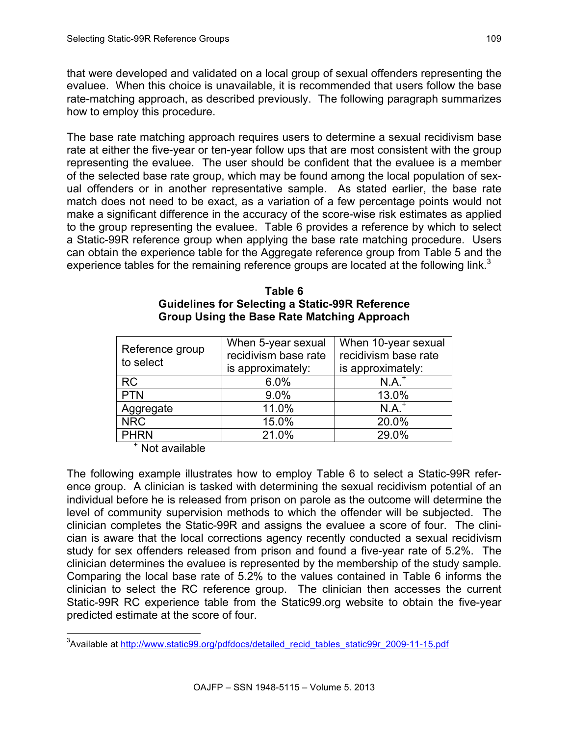that were developed and validated on a local group of sexual offenders representing the evaluee. When this choice is unavailable, it is recommended that users follow the base rate-matching approach, as described previously. The following paragraph summarizes how to employ this procedure.

The base rate matching approach requires users to determine a sexual recidivism base rate at either the five-year or ten-year follow ups that are most consistent with the group representing the evaluee. The user should be confident that the evaluee is a member of the selected base rate group, which may be found among the local population of sexual offenders or in another representative sample. As stated earlier, the base rate match does not need to be exact, as a variation of a few percentage points would not make a significant difference in the accuracy of the score-wise risk estimates as applied to the group representing the evaluee. Table 6 provides a reference by which to select a Static-99R reference group when applying the base rate matching procedure. Users can obtain the experience table for the Aggregate reference group from Table 5 and the experience tables for the remaining reference groups are located at the following link. $3$ 

| Reference group<br>to select | When 5-year sexual<br>recidivism base rate<br>is approximately: | When 10-year sexual<br>recidivism base rate<br>is approximately: |
|------------------------------|-----------------------------------------------------------------|------------------------------------------------------------------|
| <b>RC</b>                    | 6.0%                                                            | $N.A.^+$                                                         |
| <b>PTN</b>                   | 9.0%                                                            | 13.0%                                                            |
| Aggregate                    | 11.0%                                                           | $N.A.+$                                                          |
| <b>NRC</b>                   | 15.0%                                                           | 20.0%                                                            |
| <b>PHRN</b>                  | 21.0%                                                           | 29.0%                                                            |

#### **Table 6 Guidelines for Selecting a Static-99R Reference Group Using the Base Rate Matching Approach**

<sup>+</sup> Not available

The following example illustrates how to employ Table 6 to select a Static-99R reference group. A clinician is tasked with determining the sexual recidivism potential of an individual before he is released from prison on parole as the outcome will determine the level of community supervision methods to which the offender will be subjected. The clinician completes the Static-99R and assigns the evaluee a score of four. The clinician is aware that the local corrections agency recently conducted a sexual recidivism study for sex offenders released from prison and found a five-year rate of 5.2%. The clinician determines the evaluee is represented by the membership of the study sample. Comparing the local base rate of 5.2% to the values contained in Table 6 informs the clinician to select the RC reference group. The clinician then accesses the current Static-99R RC experience table from the Static99.org website to obtain the five-year predicted estimate at the score of four.

and and the metal and the metal of the metal of the metal of the metal of the metal of the metal of the metal<br>Available at http://www.static99.org/pdfdocs/detailed recid tables static99r 2009-11-15.pdf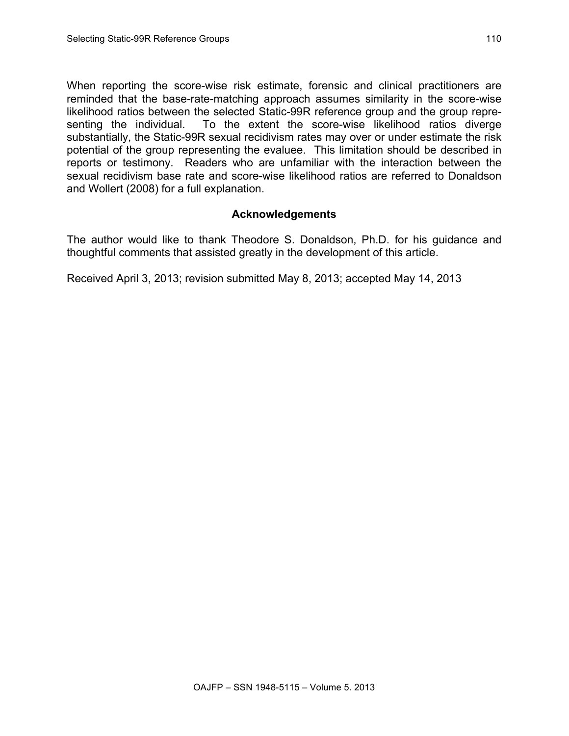When reporting the score-wise risk estimate, forensic and clinical practitioners are reminded that the base-rate-matching approach assumes similarity in the score-wise likelihood ratios between the selected Static-99R reference group and the group representing the individual. To the extent the score-wise likelihood ratios diverge substantially, the Static-99R sexual recidivism rates may over or under estimate the risk potential of the group representing the evaluee. This limitation should be described in reports or testimony. Readers who are unfamiliar with the interaction between the sexual recidivism base rate and score-wise likelihood ratios are referred to Donaldson and Wollert (2008) for a full explanation.

# **Acknowledgements**

The author would like to thank Theodore S. Donaldson, Ph.D. for his guidance and thoughtful comments that assisted greatly in the development of this article.

Received April 3, 2013; revision submitted May 8, 2013; accepted May 14, 2013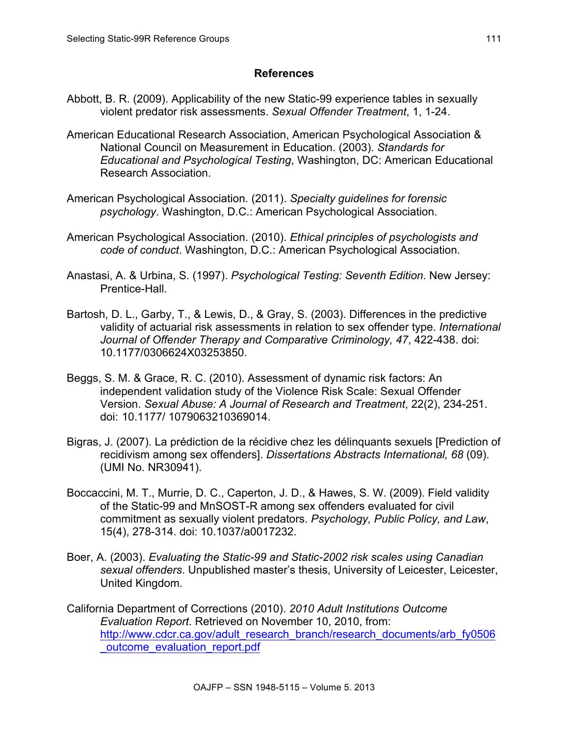## **References**

- Abbott, B. R. (2009). Applicability of the new Static-99 experience tables in sexually violent predator risk assessments. *Sexual Offender Treatment*, 1, 1-24.
- American Educational Research Association, American Psychological Association & National Council on Measurement in Education. (2003). *Standards for Educational and Psychological Testing*, Washington, DC: American Educational Research Association.
- American Psychological Association. (2011). *Specialty guidelines for forensic psychology*. Washington, D.C.: American Psychological Association.
- American Psychological Association. (2010). *Ethical principles of psychologists and code of conduct*. Washington, D.C.: American Psychological Association.
- Anastasi, A. & Urbina, S. (1997). *Psychological Testing: Seventh Edition*. New Jersey: Prentice-Hall.
- Bartosh, D. L., Garby, T., & Lewis, D., & Gray, S. (2003). Differences in the predictive validity of actuarial risk assessments in relation to sex offender type. *International Journal of Offender Therapy and Comparative Criminology, 47*, 422-438. doi: 10.1177/0306624X03253850.
- Beggs, S. M. & Grace, R. C. (2010). Assessment of dynamic risk factors: An independent validation study of the Violence Risk Scale: Sexual Offender Version. *Sexual Abuse: A Journal of Research and Treatment*, 22(2), 234-251. doi: 10.1177/ 1079063210369014.
- Bigras, J. (2007). La prédiction de la récidive chez les délinquants sexuels [Prediction of recidivism among sex offenders]. *Dissertations Abstracts International, 68* (09). (UMI No. NR30941).
- Boccaccini, M. T., Murrie, D. C., Caperton, J. D., & Hawes, S. W. (2009). Field validity of the Static-99 and MnSOST-R among sex offenders evaluated for civil commitment as sexually violent predators. *Psychology, Public Policy, and Law*, 15(4), 278-314. doi: 10.1037/a0017232.
- Boer, A. (2003). *Evaluating the Static-99 and Static-2002 risk scales using Canadian sexual offenders*. Unpublished master's thesis, University of Leicester, Leicester, United Kingdom.
- California Department of Corrections (2010). *2010 Adult Institutions Outcome Evaluation Report*. Retrieved on November 10, 2010, from: [http://www.cdcr.ca.gov/adult\\_research\\_branch/research\\_documents/arb\\_fy0506](http://www.cdcr.ca.gov/News/docs/SOMB%20Report022108.pdf) outcome\_evaluation\_report.pdf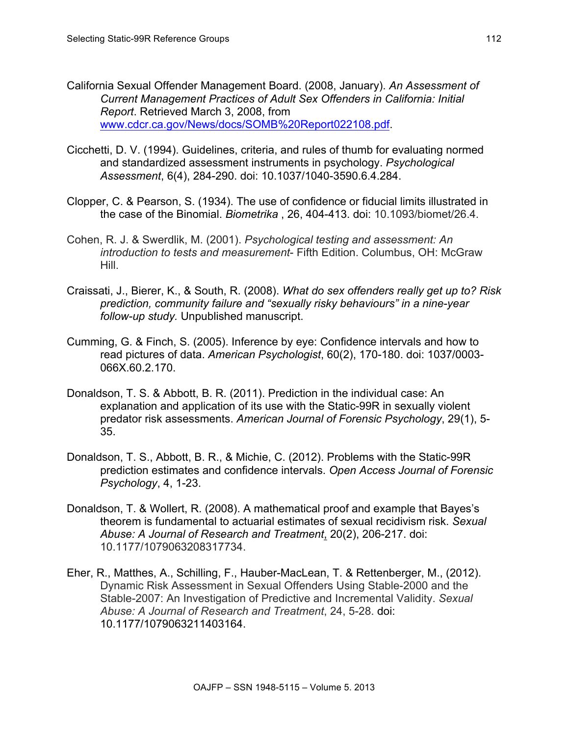- California Sexual Offender Management Board. (2008, January). *An Assessment of Current Management Practices of Adult Sex Offenders in California: Initial Report*. Retrieved March 3, 2008, from www.cdcr.ca.gov/News/docs/SOMB%20Report022108.pdf.
- Cicchetti, D. V. (1994). Guidelines, criteria, and rules of thumb for evaluating normed and standardized assessment instruments in psychology. *Psychological Assessment*, 6(4), 284-290. doi: 10.1037/1040-3590.6.4.284.
- Clopper, C. & Pearson, S. (1934). The use of confidence or fiducial limits illustrated in the case of the Binomial. *Biometrika* , 26, 404-413. doi: 10.1093/biomet/26.4.
- Cohen, R. J. & Swerdlik, M. (2001). *Psychological testing and assessment: An introduction to tests and measurement*- Fifth Edition. Columbus, OH: McGraw Hill.
- Craissati, J., Bierer, K., & South, R. (2008). *What do sex offenders really get up to? Risk prediction, community failure and "sexually risky behaviours" in a nine-year follow-up study.* Unpublished manuscript.
- Cumming, G. & Finch, S. (2005). Inference by eye: Confidence intervals and how to read pictures of data. *American Psychologist*, 60(2), 170-180. doi: 1037/0003- 066X.60.2.170.
- Donaldson, T. S. & Abbott, B. R. (2011). Prediction in the individual case: An explanation and application of its use with the Static-99R in sexually violent predator risk assessments. *American Journal of Forensic Psychology*, 29(1), 5- 35.
- Donaldson, T. S., Abbott, B. R., & Michie, C. (2012). Problems with the Static-99R prediction estimates and confidence intervals. *Open Access Journal of Forensic Psychology*, 4, 1-23.
- Donaldson, T. & Wollert, R. (2008). A mathematical proof and example that Bayes's theorem is fundamental to actuarial estimates of sexual recidivism risk. *Sexual Abuse: A Journal of Research and Treatment*, 20(2), 206-217. doi: 10.1177/1079063208317734.
- Eher, R., Matthes, A., Schilling, F., Hauber-MacLean, T. & Rettenberger, M., (2012). Dynamic Risk Assessment in Sexual Offenders Using Stable-2000 and the Stable-2007: An Investigation of Predictive and Incremental Validity. *Sexual Abuse: A Journal of Research and Treatment*, 24, 5-28. doi: 10.1177/1079063211403164.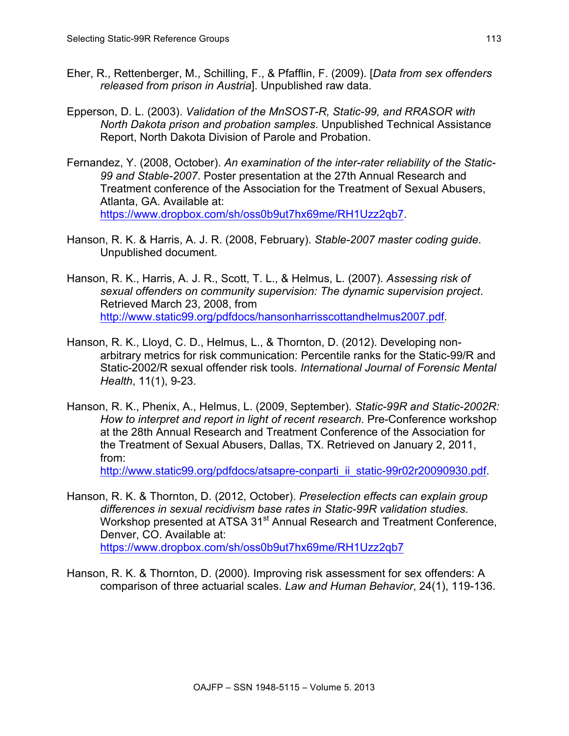- Eher, R., Rettenberger, M., Schilling, F., & Pfafflin, F. (2009). [*Data from sex offenders released from prison in Austria*]. Unpublished raw data.
- Epperson, D. L. (2003). *Validation of the MnSOST-R, Static-99, and RRASOR with North Dakota prison and probation samples*. Unpublished Technical Assistance Report, North Dakota Division of Parole and Probation.
- Fernandez, Y. (2008, October). *An examination of the inter-rater reliability of the Static-99 and Stable-2007*. Poster presentation at the 27th Annual Research and Treatment conference of the Association for the Treatment of Sexual Abusers, Atlanta, GA. Available at: https://www.dropbox.com/sh/oss0b9ut7hx69me/RH1Uzz2qb7.
- Hanson, R. K. & Harris, A. J. R. (2008, February). *Stable-2007 master coding guide*. Unpublished document.
- Hanson, R. K., Harris, A. J. R., Scott, T. L., & Helmus, L. (2007). *Assessing risk of sexual offenders on community supervision: The dynamic supervision project*. Retrieved March 23, 2008, from http://www.static99.org/pdfdocs/hansonharrisscottandhelmus2007.pdf.
- Hanson, R. K., Lloyd, C. D., Helmus, L., & Thornton, D. (2012). Developing nonarbitrary metrics for risk communication: Percentile ranks for the Static-99/R and Static-2002/R sexual offender risk tools. *International Journal of Forensic Mental Health*, 11(1), 9-23.
- Hanson, R. K., Phenix, A., Helmus, L. (2009, September). *Static-99R and Static-2002R: How to interpret and report in light of recent research*. Pre-Conference workshop at the 28th Annual Research and Treatment Conference of the Association for the Treatment of Sexual Abusers, Dallas, TX. Retrieved on January 2, 2011, from:

http://www.static99.org/pdfdocs/atsapre-conparti\_ii\_static-99r02r20090930.pdf.

- Hanson, R. K. & Thornton, D. (2012, October). *Preselection effects can explain group differences in sexual recidivism base rates in Static-99R validation studies*. Workshop presented at ATSA 31<sup>st</sup> Annual Research and Treatment Conference, Denver, CO. Available at: https://www.dropbox.com/sh/oss0b9ut7hx69me/RH1Uzz2qb7
- Hanson, R. K. & Thornton, D. (2000). Improving risk assessment for sex offenders: A comparison of three actuarial scales. *Law and Human Behavior*, 24(1), 119-136.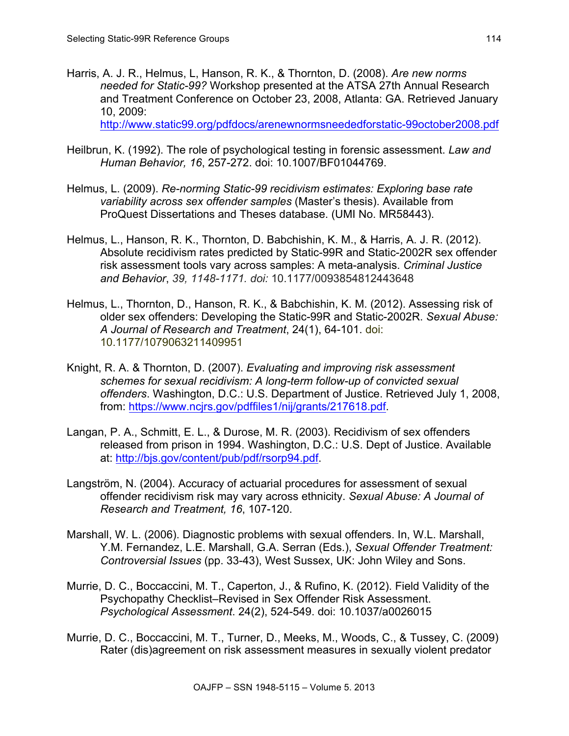Harris, A. J. R., Helmus, L, Hanson, R. K., & Thornton, D. (2008). *Are new norms needed for Static-99?* Workshop presented at the ATSA 27th Annual Research and Treatment Conference on October 23, 2008, Atlanta: GA. Retrieved January 10, 2009:

http://www.static99.org/pdfdocs/arenewnormsneededforstatic-99october2008.pdf

- Heilbrun, K. (1992). The role of psychological testing in forensic assessment. *Law and Human Behavior, 16*, 257-272. doi: 10.1007/BF01044769.
- Helmus, L. (2009). *Re-norming Static-99 recidivism estimates: Exploring base rate variability across sex offender samples* (Master's thesis). Available from ProQuest Dissertations and Theses database. (UMI No. MR58443).
- Helmus, L., Hanson, R. K., Thornton, D. Babchishin, K. M., & Harris, A. J. R. (2012). Absolute recidivism rates predicted by Static-99R and Static-2002R sex offender risk assessment tools vary across samples: A meta-analysis. *Criminal Justice and Behavior*, *39, 1148-1171. doi:* 10.1177/0093854812443648
- Helmus, L., Thornton, D., Hanson, R. K., & Babchishin, K. M. (2012). Assessing risk of older sex offenders: Developing the Static-99R and Static-2002R. *Sexual Abuse: A Journal of Research and Treatment*, 24(1), 64-101. doi: 10.1177/1079063211409951
- Knight, R. A. & Thornton, D. (2007). *Evaluating and improving risk assessment schemes for sexual recidivism: A long-term follow-up of convicted sexual offenders*. Washington, D.C.: U.S. Department of Justice. Retrieved July 1, 2008, from: https://www.ncjrs.gov/pdffiles1/nij/grants/217618.pdf.
- Langan, P. A., Schmitt, E. L., & Durose, M. R. (2003). Recidivism of sex offenders released from prison in 1994. Washington, D.C.: U.S. Dept of Justice. Available at: http://bjs.gov/content/pub/pdf/rsorp94.pdf.
- Langström, N. (2004). Accuracy of actuarial procedures for assessment of sexual offender recidivism risk may vary across ethnicity. *Sexual Abuse: A Journal of Research and Treatment, 16*, 107-120.
- Marshall, W. L. (2006). Diagnostic problems with sexual offenders. In, W.L. Marshall, Y.M. Fernandez, L.E. Marshall, G.A. Serran (Eds.), *Sexual Offender Treatment: Controversial Issues* (pp. 33-43), West Sussex, UK: John Wiley and Sons.
- Murrie, D. C., Boccaccini, M. T., Caperton, J., & Rufino, K. (2012). Field Validity of the Psychopathy Checklist–Revised in Sex Offender Risk Assessment. *Psychological Assessment*. 24(2), 524-549. doi: 10.1037/a0026015
- Murrie, D. C., Boccaccini, M. T., Turner, D., Meeks, M., Woods, C., & Tussey, C. (2009) Rater (dis)agreement on risk assessment measures in sexually violent predator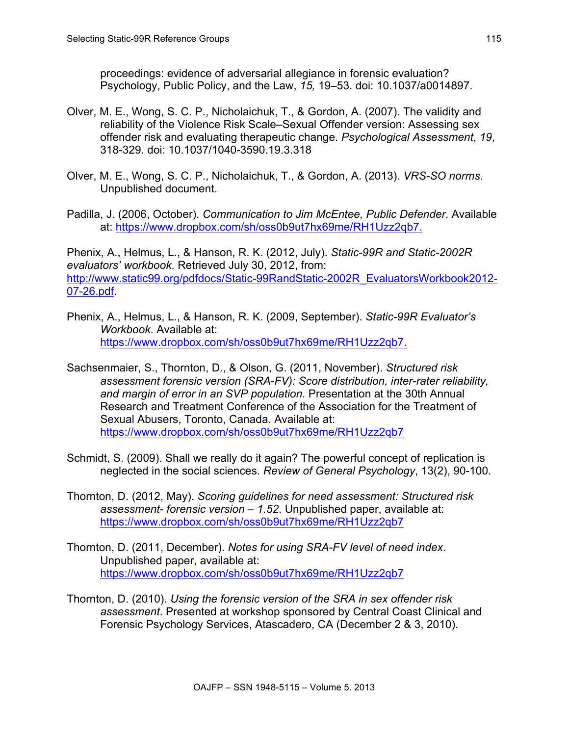proceedings: evidence of adversarial allegiance in forensic evaluation? Psychology, Public Policy, and the Law, *15,* 19–53. doi: 10.1037/a0014897.

- Olver, M. E., Wong, S. C. P., Nicholaichuk, T., & Gordon, A. (2007). The validity and reliability of the Violence Risk Scale–Sexual Offender version: Assessing sex offender risk and evaluating therapeutic change. *Psychological Assessment*, *19*, 318-329. doi: 10.1037/1040-3590.19.3.318
- Olver, M. E., Wong, S. C. P., Nicholaichuk, T., & Gordon, A. (2013). *VRS-SO norms*. Unpublished document.
- Padilla, J. (2006, October). *Communication to Jim McEntee, Public Defender*. Available at: https://www.dropbox.com/sh/oss0b9ut7hx69me/RH1Uzz2qb7.

Phenix, A., Helmus, L., & Hanson, R. K. (2012, July). *Static-99R and Static-2002R evaluators' workbook*. Retrieved July 30, 2012, from: [http://www.static99.org/pdfdocs/Static-99RandStatic-2002R\\_EvaluatorsWorkbook2012-](http://www.static99.org/pdfdocs/Static-99RandStatic-2002R_EvaluatorsWorkbook2012-07-26.pdf) 07-26.pdf.

- Phenix, A., Helmus, L., & Hanson, R. K. (2009, September). *Static-99R Evaluator's Workbook*. Available at: https://www.dropbox.com/sh/oss0b9ut7hx69me/RH1Uzz2qb7.
- Sachsenmaier, S., Thornton, D., & Olson, G. (2011, November). *Structured risk assessment forensic version (SRA-FV): Score distribution, inter-rater reliability, and margin of error in an SVP population.* Presentation at the 30th Annual Research and Treatment Conference of the Association for the Treatment of Sexual Abusers, Toronto, Canada. Available at: https://www.dropbox.com/sh/oss0b9ut7hx69me/RH1Uzz2qb7
- Schmidt, S. (2009). Shall we really do it again? The powerful concept of replication is neglected in the social sciences. *Review of General Psychology*, 13(2), 90-100.
- Thornton, D. (2012, May). *Scoring guidelines for need assessment: Structured risk assessment- forensic version – 1.52*. Unpublished paper, available at: https://www.dropbox.com/sh/oss0b9ut7hx69me/RH1Uzz2qb7
- Thornton, D. (2011, December). *Notes for using SRA-FV level of need index*. Unpublished paper, available at: https://www.dropbox.com/sh/oss0b9ut7hx69me/RH1Uzz2qb7
- Thornton, D. (2010). *Using the forensic version of the SRA in sex offender risk assessment*. Presented at workshop sponsored by Central Coast Clinical and Forensic Psychology Services, Atascadero, CA (December 2 & 3, 2010).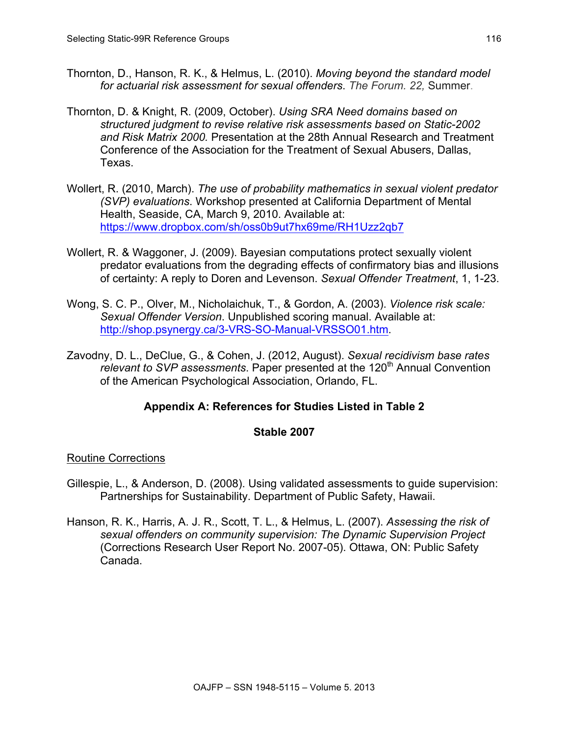- Thornton, D., Hanson, R. K., & Helmus, L. (2010). *Moving beyond the standard model for actuarial risk assessment for sexual offenders*. *The Forum. 22,* Summer.
- Thornton, D. & Knight, R. (2009, October). *Using SRA Need domains based on structured judgment to revise relative risk assessments based on Static-2002 and Risk Matrix 2000.* Presentation at the 28th Annual Research and Treatment Conference of the Association for the Treatment of Sexual Abusers, Dallas, Texas.
- Wollert, R. (2010, March). *The use of probability mathematics in sexual violent predator (SVP) evaluations*. Workshop presented at California Department of Mental Health, Seaside, CA, March 9, 2010. Available at: https://www.dropbox.com/sh/oss0b9ut7hx69me/RH1Uzz2qb7
- Wollert, R. & Waggoner, J. (2009). Bayesian computations protect sexually violent predator evaluations from the degrading effects of confirmatory bias and illusions of certainty: A reply to Doren and Levenson. *Sexual Offender Treatment*, 1, 1-23.
- Wong, S. C. P., Olver, M., Nicholaichuk, T., & Gordon, A. (2003). *Violence risk scale: Sexual Offender Version*. Unpublished scoring manual. Available at: http://shop.psynergy.ca/3-VRS-SO-Manual-VRSSO01.htm.
- Zavodny, D. L., DeClue, G., & Cohen, J. (2012, August). *Sexual recidivism base rates relevant to SVP assessments.* Paper presented at the 120<sup>th</sup> Annual Convention of the American Psychological Association, Orlando, FL.

## **Appendix A: References for Studies Listed in Table 2**

#### **Stable 2007**

## Routine Corrections

- Gillespie, L., & Anderson, D. (2008). Using validated assessments to guide supervision: Partnerships for Sustainability. Department of Public Safety, Hawaii.
- Hanson, R. K., Harris, A. J. R., Scott, T. L., & Helmus, L. (2007). *Assessing the risk of sexual offenders on community supervision: The Dynamic Supervision Project* (Corrections Research User Report No. 2007-05). Ottawa, ON: Public Safety Canada.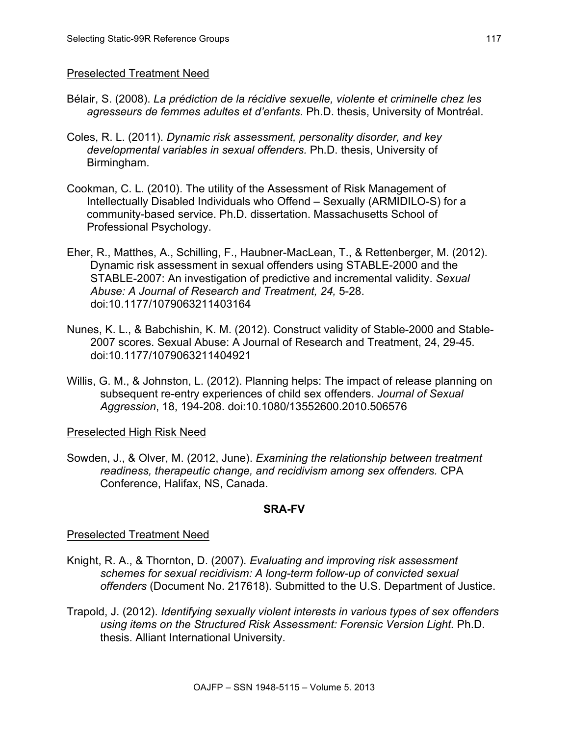## Preselected Treatment Need

- Bélair, S. (2008). *La prédiction de la récidive sexuelle, violente et criminelle chez les agresseurs de femmes adultes et d'enfants*. Ph.D. thesis, University of Montréal.
- Coles, R. L. (2011). *Dynamic risk assessment, personality disorder, and key developmental variables in sexual offenders.* Ph.D. thesis, University of Birmingham.
- Cookman, C. L. (2010). The utility of the Assessment of Risk Management of Intellectually Disabled Individuals who Offend – Sexually (ARMIDILO-S) for a community-based service. Ph.D. dissertation. Massachusetts School of Professional Psychology.
- Eher, R., Matthes, A., Schilling, F., Haubner-MacLean, T., & Rettenberger, M. (2012). Dynamic risk assessment in sexual offenders using STABLE-2000 and the STABLE-2007: An investigation of predictive and incremental validity. *Sexual Abuse: A Journal of Research and Treatment, 24,* 5-28. doi:10.1177/1079063211403164
- Nunes, K. L., & Babchishin, K. M. (2012). Construct validity of Stable-2000 and Stable-2007 scores. Sexual Abuse: A Journal of Research and Treatment, 24, 29-45. doi:10.1177/1079063211404921
- Willis, G. M., & Johnston, L. (2012). Planning helps: The impact of release planning on subsequent re-entry experiences of child sex offenders. *Journal of Sexual Aggression*, 18, 194-208. doi:10.1080/13552600.2010.506576

## Preselected High Risk Need

Sowden, J., & Olver, M. (2012, June). *Examining the relationship between treatment readiness, therapeutic change, and recidivism among sex offenders.* CPA Conference, Halifax, NS, Canada.

## **SRA-FV**

## Preselected Treatment Need

- Knight, R. A., & Thornton, D. (2007). *Evaluating and improving risk assessment schemes for sexual recidivism: A long-term follow-up of convicted sexual offenders* (Document No. 217618). Submitted to the U.S. Department of Justice.
- Trapold, J. (2012). *Identifying sexually violent interests in various types of sex offenders using items on the Structured Risk Assessment: Forensic Version Light.* Ph.D. thesis. Alliant International University.